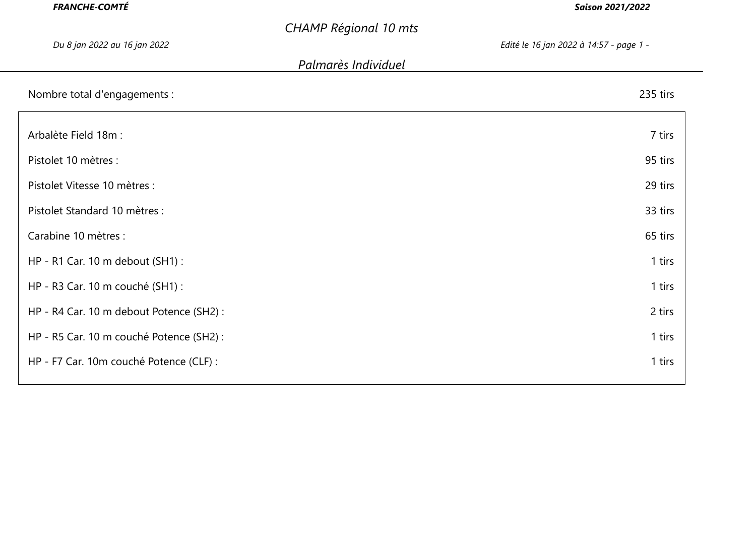| <b>FRANCHE-COMTÉ</b>                     |                              | <b>Saison 2021/2022</b>                 |
|------------------------------------------|------------------------------|-----------------------------------------|
|                                          | <b>CHAMP Régional 10 mts</b> |                                         |
| Du 8 jan 2022 au 16 jan 2022             |                              | Edité le 16 jan 2022 à 14:57 - page 1 - |
|                                          | Palmarès Individuel          |                                         |
| Nombre total d'engagements :             |                              | 235 tirs                                |
| Arbalète Field 18m :                     |                              | 7 tirs                                  |
| Pistolet 10 mètres :                     |                              | 95 tirs                                 |
| Pistolet Vitesse 10 mètres :             |                              | 29 tirs                                 |
| Pistolet Standard 10 mètres :            |                              | 33 tirs                                 |
| Carabine 10 mètres :                     |                              | 65 tirs                                 |
| HP - R1 Car. 10 m debout (SH1) :         |                              | 1 tirs                                  |
| HP - R3 Car. 10 m couché (SH1) :         |                              | 1 tirs                                  |
| HP - R4 Car. 10 m debout Potence (SH2) : |                              | 2 tirs                                  |
| HP - R5 Car. 10 m couché Potence (SH2) : |                              | 1 tirs                                  |
| HP - F7 Car. 10m couché Potence (CLF) :  |                              | 1 tirs                                  |
|                                          |                              |                                         |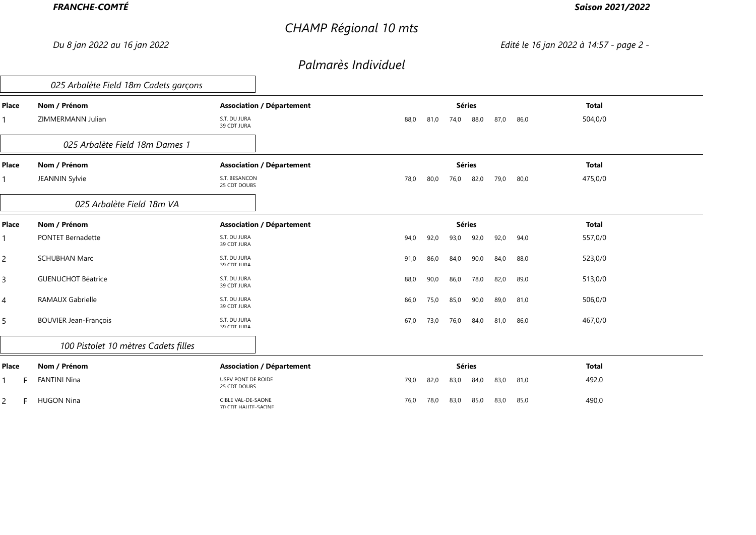# *CHAMP Régional 10 mts*

### *Saison 2021/2022*

*Du 8 jan 2022 au 16 jan 2022 Edité le 16 jan 2022 à 14:57 - page 2 -*

|                | 025 Arbalète Field 18m Cadets garçons |                                                  |                                              |              |  |
|----------------|---------------------------------------|--------------------------------------------------|----------------------------------------------|--------------|--|
| Place          | Nom / Prénom                          | <b>Association / Département</b>                 | <b>Séries</b>                                | <b>Total</b> |  |
|                | ZIMMERMANN Julian                     | S.T. DU JURA<br>39 CDT JURA                      | 88,0<br>87,0<br>86,0<br>88,0<br>81,0<br>74,0 | 504,0/0      |  |
|                | 025 Arbalète Field 18m Dames 1        |                                                  |                                              |              |  |
| Place          | Nom / Prénom                          | <b>Association / Département</b>                 | <b>Séries</b>                                | <b>Total</b> |  |
| 1              | JEANNIN Sylvie                        | S.T. BESANCON<br>25 CDT DOUBS                    | 79,0<br>78,0<br>82,0<br>80,0<br>80,0<br>76,0 | 475,0/0      |  |
|                | 025 Arbalète Field 18m VA             |                                                  |                                              |              |  |
| Place          | Nom / Prénom                          | <b>Association / Département</b>                 | <b>Séries</b>                                | <b>Total</b> |  |
| 1              | <b>PONTET Bernadette</b>              | S.T. DU JURA<br>39 CDT JURA                      | 92,0<br>94,0<br>92,0<br>93,0<br>92,0<br>94,0 | 557,0/0      |  |
| $\overline{c}$ | <b>SCHUBHAN Marc</b>                  | S.T. DU JURA<br>39 CDT ILIRA                     | 84,0<br>91,0<br>86,0<br>84,0<br>90,0<br>88,0 | 523,0/0      |  |
| $\overline{3}$ | <b>GUENUCHOT Béatrice</b>             | S.T. DU JURA<br>39 CDT ILIRA                     | 88,0<br>90,0<br>78,0<br>82,0<br>89,0<br>86,0 | 513,0/0      |  |
| 4              | <b>RAMAUX Gabrielle</b>               | S.T. DU JURA<br>39 CDT JURA                      | 89,0<br>86,0<br>75,0<br>85,0<br>90,0<br>81,0 | 506,0/0      |  |
| 5              | <b>BOUVIER Jean-François</b>          | S.T. DU JURA<br><b>39 CDT ILIRA</b>              | 67,0<br>73,0<br>76,0<br>84,0<br>81,0<br>86,0 | 467,0/0      |  |
|                | 100 Pistolet 10 mètres Cadets filles  |                                                  |                                              |              |  |
| Place          | Nom / Prénom                          | <b>Association / Département</b>                 | <b>Séries</b>                                | <b>Total</b> |  |
| 1              | <b>FANTINI Nina</b>                   | <b>USPV PONT DE ROIDE</b><br>25 CDT DOLIRS       | 79,0<br>83,0<br>84,0<br>81,0<br>82,0<br>83,0 | 492,0        |  |
| 2              | <b>HUGON Nina</b>                     | <b>CIBLE VAL-DE-SAONE</b><br>70 CDT HALITE-SAONE | 83,0<br>85,0<br>83,0<br>85,0<br>76,0<br>78,0 | 490,0        |  |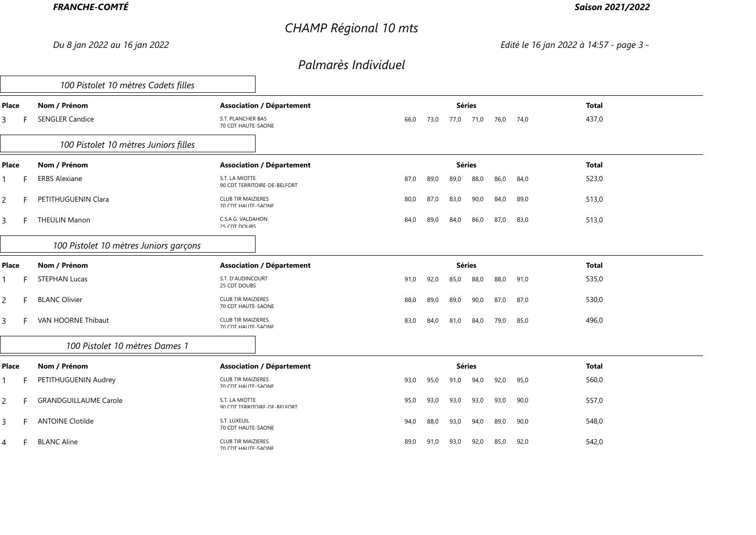# *CHAMP Régional 10 mts*

### *Saison 2021/2022*

*Du 8 jan 2022 au 16 jan 2022 Edité le 16 jan 2022 à 14:57 - page 3 -*

|                | 100 Pistolet 10 mètres Cadets filles   |                                                         |      |      |               |      |      |      |              |  |
|----------------|----------------------------------------|---------------------------------------------------------|------|------|---------------|------|------|------|--------------|--|
| Place          | Nom / Prénom                           | <b>Association / Département</b>                        |      |      | <b>Séries</b> |      |      |      | <b>Total</b> |  |
| 3              | <b>SENGLER Candice</b>                 | S.T. PLANCHER BAS<br>70 CDT HAUTE-SAONE                 | 66,0 | 73,0 | 77,0          | 71,0 | 76,0 | 74,0 | 437,0        |  |
|                | 100 Pistolet 10 mètres Juniors filles  |                                                         |      |      |               |      |      |      |              |  |
| Place          | Nom / Prénom                           | <b>Association / Département</b>                        |      |      | <b>Séries</b> |      |      |      | <b>Total</b> |  |
|                | <b>ERBS Alexiane</b>                   | S.T. LA MIOTTE<br>90 CDT TERRITOIRE-DE-BELFORT          | 87,0 | 89,0 | 89,0          | 88,0 | 86,0 | 84,0 | 523,0        |  |
| $\overline{c}$ | PETITHUGUENIN Clara                    | <b>CLUB TIR MAIZIERES</b><br>70 CDT HALITE-SAONE        | 80,0 | 87,0 | 83,0          | 90,0 | 84,0 | 89,0 | 513,0        |  |
| 3              | <b>THEULIN Manon</b>                   | C.S.A.G. VALDAHON<br>25 CDT DOLIBS                      | 84,0 | 89,0 | 84,0          | 86,0 | 87,0 | 83,0 | 513,0        |  |
|                | 100 Pistolet 10 mètres Juniors garçons |                                                         |      |      |               |      |      |      |              |  |
| Place          | Nom / Prénom                           | <b>Association / Département</b>                        |      |      | <b>Séries</b> |      |      |      | <b>Total</b> |  |
|                | <b>STEPHAN Lucas</b>                   | S.T. D'AUDINCOURT<br>25 CDT DOLIBS                      | 91,0 | 92,0 | 85,0          | 88,0 | 88,0 | 91,0 | 535,0        |  |
| $\overline{c}$ | <b>BLANC Olivier</b>                   | <b>CLUB TIR MAIZIERES</b><br>70 CDT HAUTE-SAONE         | 88,0 | 89,0 | 89,0          | 90,0 | 87,0 | 87,0 | 530,0        |  |
| 3              | VAN HOORNE Thibaut                     | <b>CLUB TIR MAIZIERES</b><br>70 CDT HALITE-SAONE        | 83,0 | 84,0 | 81,0          | 84,0 | 79,0 | 85,0 | 496,0        |  |
|                | 100 Pistolet 10 mètres Dames 1         |                                                         |      |      |               |      |      |      |              |  |
| Place          | Nom / Prénom                           | <b>Association / Département</b>                        |      |      | <b>Séries</b> |      |      |      | <b>Total</b> |  |
|                | PETITHUGUENIN Audrey                   | <b>CLUB TIR MAIZIERES</b><br><b>70 CDT HALITE-SAONE</b> | 93,0 | 95,0 | 91,0          | 94,0 | 92,0 | 95,0 | 560,0        |  |
| $\overline{c}$ | <b>GRANDGUILLAUME Carole</b>           | S.T. LA MIOTTE<br>90 CDT TERRITOIRE-DE-REI FORT         | 95,0 | 93,0 | 93,0          | 93,0 | 93,0 | 90,0 | 557,0        |  |
| 3              | <b>ANTOINE Clotilde</b>                | S.T. LUXEUIL<br>70 CDT HAUTE-SAONE                      | 94,0 | 88,0 | 93,0          | 94,0 | 89,0 | 90,0 | 548,0        |  |
| 4              | <b>BLANC Aline</b>                     | <b>CLUB TIR MAIZIERES</b><br>70 CDT HALITE-SAONE        | 89,0 | 91,0 | 93,0          | 92,0 | 85,0 | 92,0 | 542,0        |  |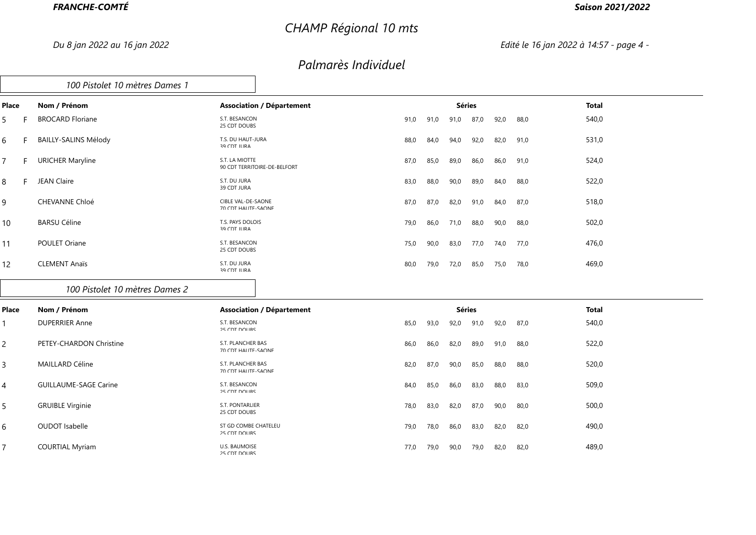# *CHAMP Régional 10 mts*

### *Saison 2021/2022*

*Du 8 jan 2022 au 16 jan 2022 Edité le 16 jan 2022 à 14:57 - page 4 -*

|       | 100 Pistolet 10 mètres Dames 1 |                                                  |      |      |      |               |      |      |              |  |
|-------|--------------------------------|--------------------------------------------------|------|------|------|---------------|------|------|--------------|--|
| Place | Nom / Prénom                   | <b>Association / Département</b>                 |      |      |      | <b>Séries</b> |      |      | <b>Total</b> |  |
| 5.    | <b>BROCARD Floriane</b>        | S.T. BESANCON<br>25 CDT DOUBS                    | 91,0 | 91,0 | 91,0 | 87,0          | 92,0 | 88,0 | 540,0        |  |
| 6     | <b>BAILLY-SALINS Mélody</b>    | T.S. DU HAUT-JURA<br>39 CDT JURA                 | 88,0 | 84,0 | 94,0 | 92,0          | 82,0 | 91,0 | 531,0        |  |
| 7     | <b>URICHER Maryline</b>        | S.T. LA MIOTTE<br>90 CDT TERRITOIRE-DE-REI FORT  | 87,0 | 85,0 | 89,0 | 86,0          | 86,0 | 91,0 | 524,0        |  |
| 8     | <b>JEAN Claire</b>             | S.T. DU JURA<br>39 CDT JURA                      | 83,0 | 88,0 | 90,0 | 89,0          | 84,0 | 88,0 | 522,0        |  |
| 9     | <b>CHEVANNE Chloé</b>          | <b>CIBLE VAL-DE-SAONE</b><br>70 CDT HALITE-SAONE | 87,0 | 87,0 | 82,0 | 91,0          | 84,0 | 87,0 | 518,0        |  |
| 10    | <b>BARSU Céline</b>            | T.S. PAYS DOLOIS<br>39 CDT JURA                  | 79,0 | 86,0 | 71,0 | 88,0          | 90,0 | 88,0 | 502,0        |  |
| 11    | POULET Oriane                  | S.T. BESANCON<br>25 CDT DOUBS                    | 75,0 | 90,0 | 83,0 | 77,0          | 74,0 | 77,0 | 476,0        |  |
| 12    | <b>CLEMENT Anaïs</b>           | S.T. DU JURA<br><b>39 CDT ILIRA</b>              | 80,0 | 79,0 | 72,0 | 85,0          | 75,0 | 78,0 | 469,0        |  |
|       | 100 Pistolet 10 mètres Dames 2 |                                                  |      |      |      |               |      |      |              |  |
| Place | Nom / Prénom                   | <b>Association / Département</b>                 |      |      |      | <b>Séries</b> |      |      | <b>Total</b> |  |
|       |                                |                                                  |      |      |      |               |      |      |              |  |

| 540,0<br><b>DUPERRIER Anne</b><br>S.T. BESANCON<br>85,0<br>93,0<br>92,0<br>92,0<br>91,0<br>87,0<br>25 CDT DOUBS<br>522,0<br>PETEY-CHARDON Christine<br>S.T. PLANCHER BAS<br>86,0<br>86,0<br>82,0<br>89,0<br>91,0<br>88,0<br>70 CDT HALITE-SAONE<br>520,0<br><b>MAILLARD Céline</b><br>S.T. PLANCHER BAS<br>87,0<br>88,0<br>82,0<br>90,0<br>85,0<br>88,0<br>70 CDT HAUTE-SAONE<br><b>GUILLAUME-SAGE Carine</b><br>509,0<br>S.T. BESANCON<br>83,0<br>84,0<br>85,0<br>86,0<br>88,0<br>83,0<br>$25$ CDT DOLIRS<br><b>GRUIBLE Virginie</b><br>500,0<br>S.T. PONTARLIER<br>83,0<br>87,0<br>78,0<br>82,0<br>90,0<br>80,0<br>25 CDT DOUBS<br><b>OUDOT</b> Isabelle<br>490,0<br>ST GD COMBE CHATELEU<br>78,0<br>83,0<br>82,0<br>82,0<br>79,0<br>86,0<br>25 CDT DOUBS<br><b>COURTIAL Myriam</b><br>U.S. BAUMOISE<br>489,0<br>79,0<br>82,0<br>77,0<br>90,0<br>79,0<br>82,0<br>25 CDT DOUBS | .              |  |  |  |  | - - - |
|---------------------------------------------------------------------------------------------------------------------------------------------------------------------------------------------------------------------------------------------------------------------------------------------------------------------------------------------------------------------------------------------------------------------------------------------------------------------------------------------------------------------------------------------------------------------------------------------------------------------------------------------------------------------------------------------------------------------------------------------------------------------------------------------------------------------------------------------------------------------------------|----------------|--|--|--|--|-------|
|                                                                                                                                                                                                                                                                                                                                                                                                                                                                                                                                                                                                                                                                                                                                                                                                                                                                                 |                |  |  |  |  |       |
|                                                                                                                                                                                                                                                                                                                                                                                                                                                                                                                                                                                                                                                                                                                                                                                                                                                                                 | 2              |  |  |  |  |       |
|                                                                                                                                                                                                                                                                                                                                                                                                                                                                                                                                                                                                                                                                                                                                                                                                                                                                                 | 3              |  |  |  |  |       |
|                                                                                                                                                                                                                                                                                                                                                                                                                                                                                                                                                                                                                                                                                                                                                                                                                                                                                 | $\overline{4}$ |  |  |  |  |       |
|                                                                                                                                                                                                                                                                                                                                                                                                                                                                                                                                                                                                                                                                                                                                                                                                                                                                                 | 5              |  |  |  |  |       |
|                                                                                                                                                                                                                                                                                                                                                                                                                                                                                                                                                                                                                                                                                                                                                                                                                                                                                 | 6              |  |  |  |  |       |
|                                                                                                                                                                                                                                                                                                                                                                                                                                                                                                                                                                                                                                                                                                                                                                                                                                                                                 |                |  |  |  |  |       |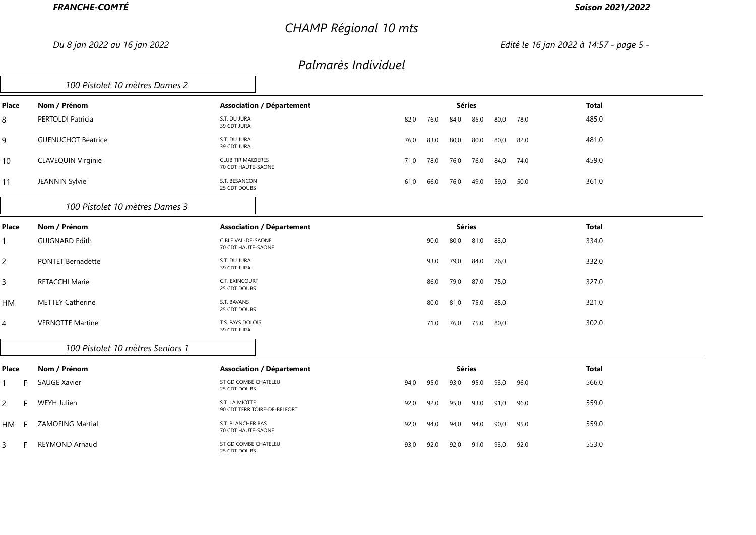# *CHAMP Régional 10 mts*

### *Saison 2021/2022*

*Du 8 jan 2022 au 16 jan 2022 Edité le 16 jan 2022 à 14:57 - page 5 -*

|                | 100 Pistolet 10 mètres Dames 2   |                                                  |      |      |               |      |      |      |              |
|----------------|----------------------------------|--------------------------------------------------|------|------|---------------|------|------|------|--------------|
| Place          | Nom / Prénom                     | <b>Association / Département</b>                 |      |      | <b>Séries</b> |      |      |      | <b>Total</b> |
| 8              | PERTOLDI Patricia                | S.T. DU JURA<br>39 CDT JURA                      | 82,0 | 76,0 | 84,0          | 85,0 | 80,0 | 78,0 | 485,0        |
| 9              | <b>GUENUCHOT Béatrice</b>        | S.T. DU JURA<br>39 CDT ILIRA                     | 76,0 | 83,0 | 80,0          | 80,0 | 80,0 | 82,0 | 481,0        |
| 10             | <b>CLAVEQUIN Virginie</b>        | <b>CLUB TIR MAIZIERES</b><br>70 CDT HALITE-SAONE | 71,0 | 78,0 | 76,0          | 76,0 | 84,0 | 74,0 | 459,0        |
| 11             | JEANNIN Sylvie                   | S.T. BESANCON<br>25 CDT DOUBS                    | 61,0 | 66,0 | 76,0          | 49,0 | 59,0 | 50,0 | 361,0        |
|                | 100 Pistolet 10 mètres Dames 3   |                                                  |      |      |               |      |      |      |              |
| Place          | Nom / Prénom                     | <b>Association / Département</b>                 |      |      | <b>Séries</b> |      |      |      | <b>Total</b> |
|                | <b>GUIGNARD Edith</b>            | CIBLE VAL-DE-SAONE<br>70 CDT HAUTE-SAONE         |      | 90,0 | 80,0          | 81,0 | 83,0 |      | 334,0        |
| $\overline{c}$ | <b>PONTET Bernadette</b>         | S.T. DU JURA<br>39 CDT ILIRA                     |      | 93,0 | 79,0          | 84,0 | 76,0 |      | 332,0        |
| 3              | <b>RETACCHI Marie</b>            | C.T. EXINCOURT<br>25 CDT DOLIBS                  |      | 86,0 | 79,0          | 87,0 | 75,0 |      | 327,0        |
| HM             | <b>METTEY Catherine</b>          | S.T. BAVANS<br>25 CDT DOUBS                      |      | 80,0 | 81,0          | 75,0 | 85,0 |      | 321,0        |
| 4              | <b>VERNOTTE Martine</b>          | T.S. PAYS DOLOIS<br><b>39 CDT ILIRA</b>          |      | 71,0 | 76,0          | 75,0 | 80,0 |      | 302,0        |
|                | 100 Pistolet 10 mètres Seniors 1 |                                                  |      |      |               |      |      |      |              |
| Place          | Nom / Prénom                     | <b>Association / Département</b>                 |      |      | <b>Séries</b> |      |      |      | <b>Total</b> |
|                | <b>SAUGE Xavier</b>              | ST GD COMBE CHATELEU<br>25 CDT DOLIBS            | 94,0 | 95,0 | 93,0          | 95,0 | 93,0 | 96,0 | 566,0        |
| 2              | WEYH Julien                      | S.T. LA MIOTTE<br>90 CDT TERRITOIRE-DE-REI FORT  | 92,0 | 92,0 | 95,0          | 93,0 | 91,0 | 96,0 | 559,0        |
| HM             | <b>ZAMOFING Martial</b>          | S.T. PLANCHER BAS<br>70 CDT HAUTE-SAONE          | 92,0 | 94.0 | 94,0          | 94,0 | 90,0 | 95,0 | 559,0        |
| 3              | <b>REYMOND Arnaud</b>            | ST GD COMBE CHATELEU<br>$25$ CDT DOLIRS          | 93,0 | 92,0 | 92,0          | 91,0 | 93,0 | 92,0 | 553,0        |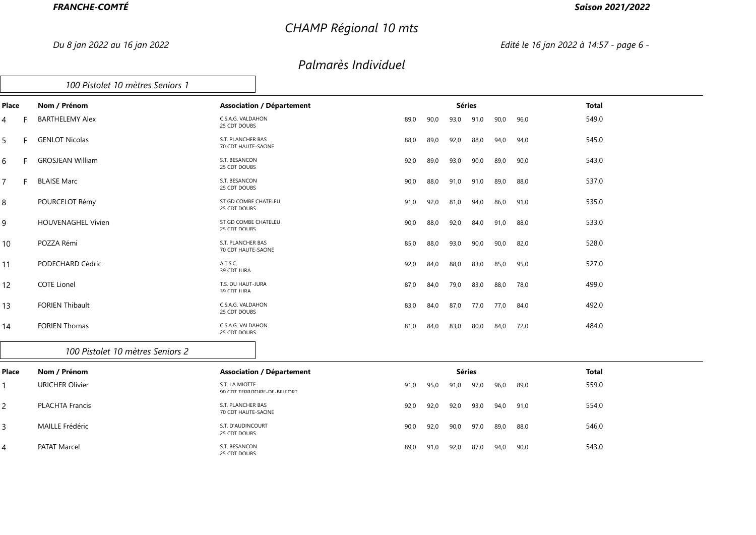# *CHAMP Régional 10 mts*

### *Saison 2021/2022*

*Du 8 jan 2022 au 16 jan 2022 Edité le 16 jan 2022 à 14:57 - page 6 -*

### *Palmarès Individuel*

|       | 100 Pistolet 10 mètres Seniors 1 |                                          |      |      |               |      |      |      |       |
|-------|----------------------------------|------------------------------------------|------|------|---------------|------|------|------|-------|
| Place | Nom / Prénom                     | <b>Association / Département</b>         |      |      | <b>Séries</b> |      |      |      | Total |
|       | <b>BARTHELEMY Alex</b>           | C.S.A.G. VALDAHON<br>25 CDT DOUBS        | 89,0 | 90,0 | 93,0          | 91,0 | 90,0 | 96,0 | 549,0 |
| 5     | <b>GENLOT Nicolas</b>            | S.T. PLANCHER BAS<br>70 CDT HALITE-SAONE | 88,0 | 89,0 | 92,0          | 88,0 | 94,0 | 94,0 | 545,0 |
| 6.    | <b>GROSJEAN William</b>          | S.T. BESANCON<br>25 CDT DOUBS            | 92,0 | 89,0 | 93,0          | 90,0 | 89,0 | 90,0 | 543,0 |
|       | <b>BLAISE Marc</b>               | S.T. BESANCON<br>25 CDT DOUBS            | 90,0 | 88,0 | 91,0          | 91,0 | 89,0 | 88,0 | 537,0 |
| 8     | POURCELOT Rémy                   | ST GD COMBE CHATELEU<br>25 CDT DOUBS     | 91,0 | 92,0 | 81,0          | 94,0 | 86,0 | 91,0 | 535,0 |
| 9     | <b>HOUVENAGHEL Vivien</b>        | ST GD COMBE CHATELEU<br>25 CDT DOLIBS    | 90,0 | 88,0 | 92,0          | 84,0 | 91,0 | 88,0 | 533,0 |
| 10    | POZZA Rémi                       | S.T. PLANCHER BAS<br>70 CDT HAUTE-SAONE  | 85,0 | 88,0 | 93,0          | 90,0 | 90,0 | 82,0 | 528,0 |
| 11    | PODECHARD Cédric                 | A.T.S.C.<br><b>29 CDT ILIRA</b>          | 92,0 | 84,0 | 88,0          | 83,0 | 85,0 | 95,0 | 527,0 |
| 12    | <b>COTE Lionel</b>               | T.S. DU HAUT-JURA<br>39 CDT ILIRA        | 87,0 | 84,0 | 79,0          | 83,0 | 88,0 | 78,0 | 499,0 |
| 13    | <b>FORIEN Thibault</b>           | C.S.A.G. VALDAHON<br>25 CDT DOUBS        | 83,0 | 84,0 | 87,0          | 77,0 | 77,0 | 84,0 | 492,0 |
| 14    | <b>FORIEN Thomas</b>             | C.S.A.G. VALDAHON<br>$25$ CDT DOLIBS     | 81,0 | 84,0 | 83,0          | 80,0 | 84,0 | 72,0 | 484,0 |

#### *100 Pistolet 10 mètres Seniors 2*

| Place | Nom / Prénom           | <b>Association / Département</b>               |      |      | Séries |      |      | Total |       |
|-------|------------------------|------------------------------------------------|------|------|--------|------|------|-------|-------|
|       | <b>URICHER Olivier</b> | S.T. LA MIOTTE<br>90 CDT TERRITOIRE-DE-RELEORT | 91,0 | 95,0 | 91,0   | 97,0 | 96,0 | 89,0  | 559,0 |
|       | <b>PLACHTA Francis</b> | S.T. PLANCHER BAS<br>70 CDT HAUTE-SAONE        | 92,0 | 92,0 | 92,0   | 93,0 | 94,0 | 91,0  | 554,0 |
|       | MAILLE Frédéric        | S.T. D'AUDINCOURT<br>25 CDT DOUBS              | 90,0 | 92,0 | 90,0   | 97,0 | 89,0 | 88,0  | 546,0 |
|       | PATAT Marcel           | S.T. BESANCON<br>25 CDT DOURS                  | 89,0 | 91,0 | 92,0   | 87,0 | 94,0 | 90,0  | 543,0 |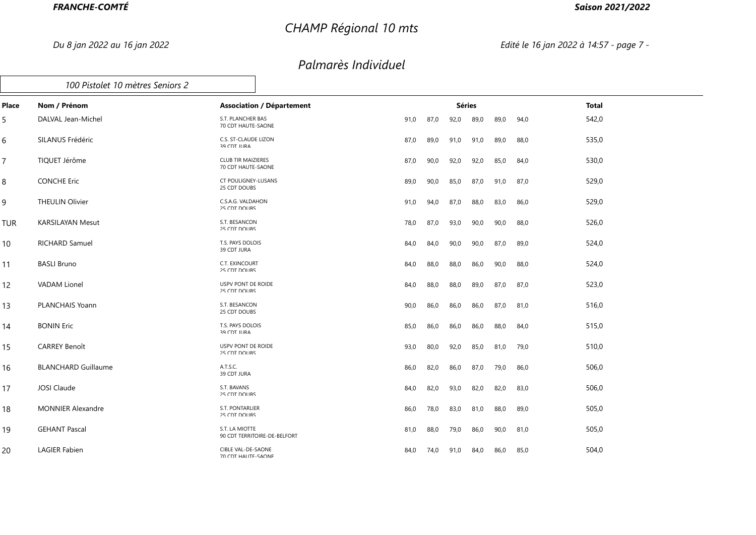# *CHAMP Régional 10 mts*

### *Saison 2021/2022*

*Du 8 jan 2022 au 16 jan 2022 Edité le 16 jan 2022 à 14:57 - page 7 -*

|                | 100 Pistolet 10 mètres Seniors 2 |                                                  |                                  |      |      |               |      |      |      |              |  |
|----------------|----------------------------------|--------------------------------------------------|----------------------------------|------|------|---------------|------|------|------|--------------|--|
| Place          | Nom / Prénom                     |                                                  | <b>Association / Département</b> |      |      | <b>Séries</b> |      |      |      | <b>Total</b> |  |
| 5              | DALVAL Jean-Michel               | S.T. PLANCHER BAS<br>70 CDT HAUTE-SAONE          |                                  | 91,0 | 87,0 | 92,0          | 89,0 | 89,0 | 94,0 | 542,0        |  |
| 6              | SILANUS Frédéric                 | C.S. ST-CLAUDE LIZON<br>39 CDT ILIRA             |                                  | 87,0 | 89,0 | 91,0          | 91,0 | 89,0 | 88,0 | 535,0        |  |
| $\overline{7}$ | TIQUET Jérôme                    | <b>CLUB TIR MAIZIERES</b><br>70 CDT HALITE-SAONE |                                  | 87,0 | 90,0 | 92,0          | 92,0 | 85,0 | 84,0 | 530,0        |  |
| 8              | <b>CONCHE Eric</b>               | CT POULIGNEY-LUSANS<br>25 CDT DOUBS              |                                  | 89,0 | 90,0 | 85,0          | 87,0 | 91,0 | 87,0 | 529,0        |  |
| 9              | <b>THEULIN Olivier</b>           | C.S.A.G. VALDAHON<br>25 CDT DOLIBS               |                                  | 91,0 | 94,0 | 87,0          | 88,0 | 83,0 | 86,0 | 529,0        |  |
| <b>TUR</b>     | <b>KARSILAYAN Mesut</b>          | S.T. BESANCON<br>25 CDT DOLIBS                   |                                  | 78,0 | 87,0 | 93,0          | 90,0 | 90,0 | 88,0 | 526,0        |  |
| 10             | <b>RICHARD Samuel</b>            | T.S. PAYS DOLOIS<br>39 CDT JURA                  |                                  | 84,0 | 84,0 | 90,0          | 90,0 | 87,0 | 89,0 | 524,0        |  |
| 11             | <b>BASLI Bruno</b>               | C.T. EXINCOURT<br>25 CDT DOLIBS                  |                                  | 84,0 | 88,0 | 88,0          | 86,0 | 90,0 | 88,0 | 524,0        |  |
| 12             | <b>VADAM Lionel</b>              | USPV PONT DE ROIDE<br>25 CDT DOURS               |                                  | 84,0 | 88,0 | 88,0          | 89,0 | 87,0 | 87,0 | 523,0        |  |
| 13             | PLANCHAIS Yoann                  | S.T. BESANCON<br>25 CDT DOUBS                    |                                  | 90,0 | 86,0 | 86,0          | 86,0 | 87,0 | 81,0 | 516,0        |  |
| 14             | <b>BONIN Eric</b>                | T.S. PAYS DOLOIS<br><b>29 CDT ILIRA</b>          |                                  | 85,0 | 86,0 | 86,0          | 86,0 | 88,0 | 84,0 | 515,0        |  |
| 15             | <b>CARREY Benoît</b>             | USPV PONT DE ROIDE<br>25 CDT DOLIBS              |                                  | 93,0 | 80,0 | 92,0          | 85,0 | 81,0 | 79,0 | 510,0        |  |
| 16             | <b>BLANCHARD Guillaume</b>       | A.T.S.C.<br>39 CDT JURA                          |                                  | 86,0 | 82,0 | 86,0          | 87,0 | 79,0 | 86,0 | 506,0        |  |
| 17             | JOSI Claude                      | S.T. BAVANS<br>25 CDT DOLIBS                     |                                  | 84,0 | 82,0 | 93,0          | 82,0 | 82,0 | 83,0 | 506,0        |  |
| 18             | <b>MONNIER Alexandre</b>         | S.T. PONTARLIER<br>25 CDT DOLIBS                 |                                  | 86,0 | 78,0 | 83,0          | 81,0 | 88,0 | 89,0 | 505,0        |  |
| 19             | <b>GEHANT Pascal</b>             | S.T. LA MIOTTE                                   | 90 CDT TERRITOIRE-DE-BELFORT     | 81,0 | 88,0 | 79,0          | 86,0 | 90,0 | 81,0 | 505,0        |  |
| 20             | <b>LAGIER Fabien</b>             | CIBLE VAL-DE-SAONE<br>70 CDT HALITE-SAONE        |                                  | 84,0 | 74,0 | 91,0          | 84,0 | 86,0 | 85,0 | 504,0        |  |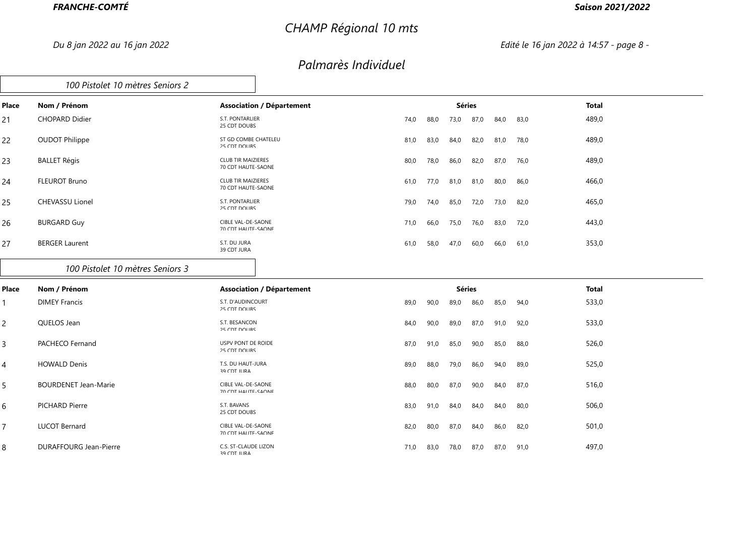# *CHAMP Régional 10 mts*

### *Saison 2021/2022*

*Du 8 jan 2022 au 16 jan 2022 Edité le 16 jan 2022 à 14:57 - page 8 -*

### *Palmarès Individuel*

|       | 100 Pistolet 10 mètres Seniors 2 |                                                 |      |      |               |      |      |      |              |
|-------|----------------------------------|-------------------------------------------------|------|------|---------------|------|------|------|--------------|
| Place | Nom / Prénom                     | <b>Association / Département</b>                |      |      | <b>Séries</b> |      |      |      | <b>Total</b> |
| 21    | <b>CHOPARD Didier</b>            | S.T. PONTARLIER<br>25 CDT DOUBS                 | 74,0 | 88,0 | 73,0          | 87,0 | 84,0 | 83,0 | 489,0        |
| 22    | <b>OUDOT Philippe</b>            | ST GD COMBE CHATELEU<br>25 CDT DOUBS            | 81,0 | 83,0 | 84,0          | 82,0 | 81,0 | 78,0 | 489,0        |
| 23    | <b>BALLET Régis</b>              | <b>CLUB TIR MAIZIERES</b><br>70 CDT HAUTE-SAONE | 80,0 | 78,0 | 86,0          | 82,0 | 87,0 | 76,0 | 489,0        |
| 24    | <b>FLEUROT Bruno</b>             | <b>CLUB TIR MAIZIERES</b><br>70 CDT HAUTE-SAONE | 61,0 | 77,0 | 81,0          | 81,0 | 80,0 | 86,0 | 466,0        |
| 25    | <b>CHEVASSU Lionel</b>           | S.T. PONTARLIER<br>25 CDT DOUBS                 | 79,0 | 74,0 | 85,0          | 72,0 | 73,0 | 82,0 | 465,0        |
| 26    | <b>BURGARD Guy</b>               | CIBLE VAL-DE-SAONE<br>70 CDT HALITE-SAONE       | 71,0 | 66,0 | 75,0          | 76,0 | 83,0 | 72,0 | 443,0        |
| 27    | <b>BERGER Laurent</b>            | S.T. DU JURA<br>39 CDT JURA                     | 61,0 | 58,0 | 47,0          | 60,0 | 66,0 | 61,0 | 353,0        |
|       |                                  |                                                 |      |      |               |      |      |      |              |

#### *100 Pistolet 10 mètres Seniors 3*

| Place | Nom / Prénom                | <b>Association / Département</b>                 |      |      | <b>Séries</b> |      |      |      | <b>Total</b> |
|-------|-----------------------------|--------------------------------------------------|------|------|---------------|------|------|------|--------------|
|       | <b>DIMEY Francis</b>        | S.T. D'AUDINCOURT<br>25 CDT DOUBS                | 89,0 | 90,0 | 89,0          | 86,0 | 85,0 | 94,0 | 533,0        |
| 2     | QUELOS Jean                 | S.T. BESANCON<br>25 CDT DOUBS                    | 84,0 | 90,0 | 89,0          | 87,0 | 91,0 | 92,0 | 533,0        |
| 3     | PACHECO Fernand             | USPV PONT DE ROIDE<br>25 CDT DOUBS               | 87,0 | 91,0 | 85,0          | 90,0 | 85,0 | 88,0 | 526,0        |
| 4     | <b>HOWALD Denis</b>         | T.S. DU HAUT-JURA<br>39 CDT JURA                 | 89,0 | 88,0 | 79,0          | 86,0 | 94,0 | 89,0 | 525,0        |
| 5     | <b>BOURDENET Jean-Marie</b> | CIBLE VAL-DE-SAONE<br><b>70 CDT HALITE-SAONE</b> | 88,0 | 80,0 | 87,0          | 90,0 | 84,0 | 87,0 | 516,0        |
| 6     | PICHARD Pierre              | S.T. BAVANS<br>25 CDT DOUBS                      | 83,0 | 91,0 | 84,0          | 84,0 | 84,0 | 80,0 | 506,0        |
| 7     | <b>LUCOT Bernard</b>        | CIBLE VAL-DE-SAONE<br>70 CDT HAUTE-SAONE         | 82,0 | 80,0 | 87,0          | 84,0 | 86,0 | 82,0 | 501,0        |
| 8     | DURAFFOURG Jean-Pierre      | C.S. ST-CLAUDE LIZON<br>39 CDT JURA              | 71,0 | 83,0 | 78,0          | 87,0 | 87,0 | 91,0 | 497,0        |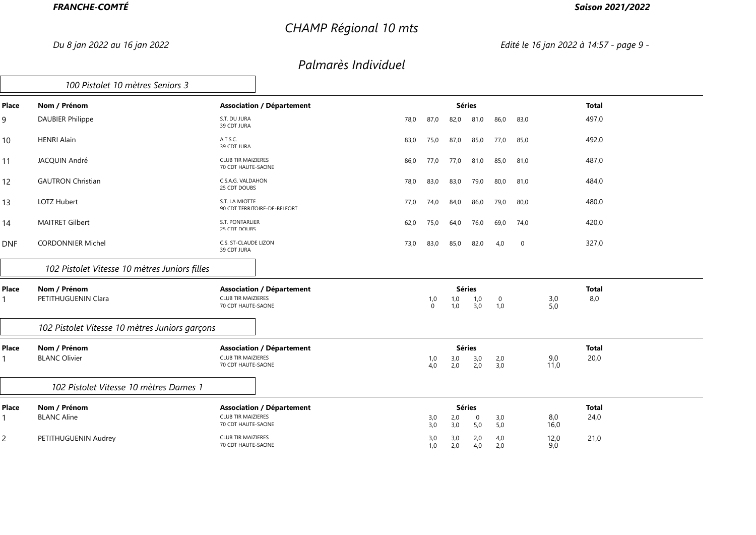# *CHAMP Régional 10 mts*

### *Saison 2021/2022*

*Du 8 jan 2022 au 16 jan 2022 Edité le 16 jan 2022 à 14:57 - page 9 -*

|                | 100 Pistolet 10 mètres Seniors 3               |                                                  |      |                 |               |            |                    |             |             |              |
|----------------|------------------------------------------------|--------------------------------------------------|------|-----------------|---------------|------------|--------------------|-------------|-------------|--------------|
| Place          | Nom / Prénom                                   | <b>Association / Département</b>                 |      |                 | <b>Séries</b> |            |                    |             |             | <b>Total</b> |
| 9              | <b>DAUBIER Philippe</b>                        | S.T. DU JURA<br>39 CDT JURA                      | 78,0 | 87,0            | 82,0          | 81,0       | 86,0               | 83,0        |             | 497,0        |
| 10             | <b>HENRI Alain</b>                             | A.T.S.C.<br>39 CDT IURA                          | 83,0 | 75,0            | 87,0          | 85,0       | 77,0               | 85,0        |             | 492,0        |
| 11             | JACQUIN André                                  | <b>CLUB TIR MAIZIERES</b><br>70 CDT HALITE-SAONE | 86,0 | 77,0            | 77,0          | 81,0       | 85,0               | 81,0        |             | 487,0        |
| 12             | <b>GAUTRON Christian</b>                       | C.S.A.G. VALDAHON<br>25 CDT DOUBS                | 78,0 | 83,0            | 83,0          | 79,0       | 80,0               | 81,0        |             | 484,0        |
| 13             | LOTZ Hubert                                    | S.T. LA MIOTTE<br>90 CDT TERRITOIRE-DE-REI FORT  | 77,0 | 74,0            | 84,0          | 86,0       | 79,0               | 80,0        |             | 480,0        |
| 14             | <b>MAITRET Gilbert</b>                         | S.T. PONTARLIER<br>25 CDT DOLIBS                 | 62,0 | 75,0            | 64,0          | 76,0       | 69,0               | 74,0        |             | 420,0        |
| <b>DNF</b>     | <b>CORDONNIER Michel</b>                       | C.S. ST-CLAUDE LIZON<br>39 CDT JURA              | 73,0 | 83,0            | 85,0          | 82,0       | 4,0                | $\mathbf 0$ |             | 327,0        |
|                | 102 Pistolet Vitesse 10 mètres Juniors filles  |                                                  |      |                 |               |            |                    |             |             |              |
| Place          | Nom / Prénom                                   | <b>Association / Département</b>                 |      |                 | <b>Séries</b> |            |                    |             |             | <b>Total</b> |
|                | PETITHUGUENIN Clara                            | <b>CLUB TIR MAIZIERES</b><br>70 CDT HAUTE-SAONE  |      | 1,0<br>$\Omega$ | 1,0<br>1,0    | 1,0<br>3,0 | $\mathbf 0$<br>1,0 |             | 3,0<br>5,0  | 8,0          |
|                | 102 Pistolet Vitesse 10 mètres Juniors garçons |                                                  |      |                 |               |            |                    |             |             |              |
| Place          | Nom / Prénom                                   | <b>Association / Département</b>                 |      |                 | <b>Séries</b> |            |                    |             |             | <b>Total</b> |
|                | <b>BLANC Olivier</b>                           | <b>CLUB TIR MAIZIERES</b><br>70 CDT HAUTE-SAONE  |      | 1,0<br>4.0      | 3,0<br>2,0    | 3,0<br>2,0 | 2,0<br>3,0         |             | 9,0<br>11,0 | 20,0         |
|                | 102 Pistolet Vitesse 10 mètres Dames 1         |                                                  |      |                 |               |            |                    |             |             |              |
| Place          | Nom / Prénom                                   | <b>Association / Département</b>                 |      |                 | <b>Séries</b> |            |                    |             |             | <b>Total</b> |
|                | <b>BLANC Aline</b>                             | <b>CLUB TIR MAIZIERES</b><br>70 CDT HAUTE-SAONE  |      | 3,0<br>3,0      | 2,0<br>3,0    | 0<br>5,0   | 3,0<br>5,0         |             | 8,0<br>16,0 | 24,0         |
| $\overline{2}$ | PETITHUGUENIN Audrey                           | <b>CLUB TIR MAIZIERES</b><br>70 CDT HAUTE-SAONE  |      | 3,0<br>1.0      | 3,0<br>2.0    | 2,0<br>4.0 | 4,0<br>2.0         |             | 12,0<br>9.0 | 21,0         |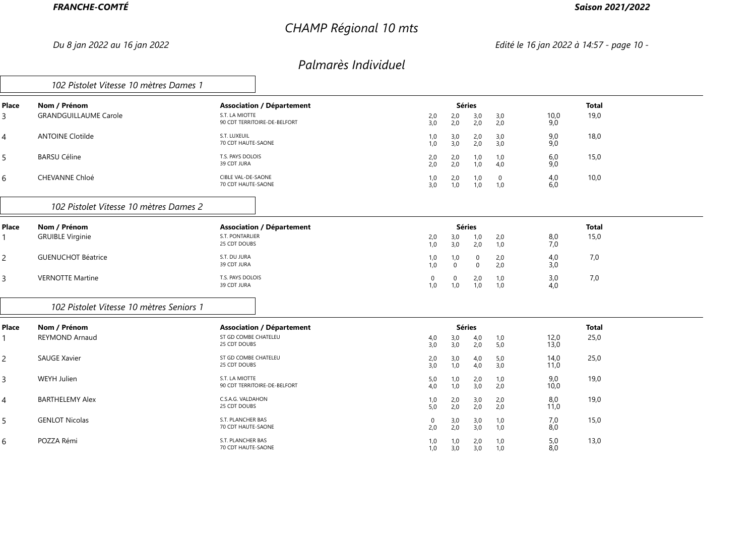# *CHAMP Régional 10 mts*

### *Saison 2021/2022*

*Du 8 jan 2022 au 16 jan 2022 Edité le 16 jan 2022 à 14:57 - page 10 -*

|                | 102 Pistolet Vitesse 10 mètres Dames 1       |                                                                                    |                    |                     |                             |                    |                   |                      |  |
|----------------|----------------------------------------------|------------------------------------------------------------------------------------|--------------------|---------------------|-----------------------------|--------------------|-------------------|----------------------|--|
| Place<br>3     | Nom / Prénom<br><b>GRANDGUILLAUME Carole</b> | <b>Association / Département</b><br>S.T. LA MIOTTE<br>90 CDT TERRITOIRE-DE-BELFORT | 2,0<br>3,0         | 2,0<br>2,0          | <b>Séries</b><br>3,0<br>2,0 | 3,0<br>2,0         | 10,0<br>9,0       | <b>Total</b><br>19,0 |  |
| 4              | <b>ANTOINE Clotilde</b>                      | S.T. LUXEUIL<br>70 CDT HAUTE-SAONE                                                 | 1,0<br>1,0         | 3,0<br>3,0          | 2,0<br>2,0                  | 3,0<br>3,0         | 9,0<br>9,0        | 18,0                 |  |
| 5              | <b>BARSU Céline</b>                          | T.S. PAYS DOLOIS<br>39 CDT JURA                                                    | 2,0<br>2.0         | 2,0<br>2,0          | 1,0<br>1,0                  | 1,0<br>4,0         | 6,0<br>9,0        | 15,0                 |  |
| 6              | <b>CHEVANNE Chloé</b>                        | CIBLE VAL-DE-SAONE<br>70 CDT HAUTE-SAONE                                           | 1,0<br>3,0         | 2,0<br>1,0          | 1,0<br>1,0                  | $\mathbf 0$<br>1,0 | 4,0<br>6,0        | 10,0                 |  |
|                | 102 Pistolet Vitesse 10 mètres Dames 2       |                                                                                    |                    |                     |                             |                    |                   |                      |  |
| Place          | Nom / Prénom                                 | <b>Association / Département</b>                                                   |                    |                     | <b>Séries</b>               |                    |                   | <b>Total</b>         |  |
|                | <b>GRUIBLE Virginie</b>                      | S.T. PONTARLIER<br>25 CDT DOUBS                                                    | 2,0<br>1,0         | 3,0<br>3,0          | $\frac{1,0}{2,0}$           | 2,0<br>1,0         | $\frac{8,0}{7,0}$ | 15,0                 |  |
| $\overline{c}$ | <b>GUENUCHOT Béatrice</b>                    | S.T. DU JURA<br>39 CDT JURA                                                        | 1,0<br>1,0         | 1,0<br>$\mathbf{0}$ | 0<br>$\mathbf 0$            | 2,0<br>2,0         | 4,0<br>3,0        | 7,0                  |  |
| $\mathsf{3}$   | <b>VERNOTTE Martine</b>                      | T.S. PAYS DOLOIS<br>39 CDT JURA                                                    | $\mathbf 0$<br>1,0 | $\mathbf 0$<br>1,0  | 2,0<br>1,0                  | 1,0<br>1,0         | 3,0<br>4,0        | 7,0                  |  |
|                | 102 Pistolet Vitesse 10 mètres Seniors 1     |                                                                                    |                    |                     |                             |                    |                   |                      |  |
| Place          | Nom / Prénom                                 | <b>Association / Département</b>                                                   |                    |                     | <b>Séries</b>               |                    |                   | <b>Total</b>         |  |
|                | <b>REYMOND Arnaud</b>                        | ST GD COMBE CHATELEU<br>25 CDT DOUBS                                               | 4,0<br>3,0         | 3,0<br>3,0          | 4,0<br>2,0                  | 1,0<br>5,0         | 12,0<br>13,0      | 25,0                 |  |
| $\overline{c}$ | <b>SAUGE Xavier</b>                          | ST GD COMBE CHATELEU<br>25 CDT DOUBS                                               | 2,0<br>3,0         | 3,0<br>1,0          | 4,0<br>4,0                  | 5,0<br>3,0         | 14,0<br>11,0      | 25,0                 |  |
| $\mathsf{3}$   | WEYH Julien                                  | S.T. LA MIOTTE<br>90 CDT TERRITOIRE-DE-BELFORT                                     | 5,0<br>4,0         | 1,0<br>1,0          | 2,0<br>3,0                  | 1,0<br>2,0         | 9,0<br>10,0       | 19,0                 |  |
| 4              | <b>BARTHELEMY Alex</b>                       | C.S.A.G. VALDAHON<br>25 CDT DOUBS                                                  | 1,0<br>5,0         | 2,0<br>2,0          | $^{3,0}_{2,0}$              | 2,0<br>2,0         | 8,0<br>11,0       | 19,0                 |  |
| 5              | <b>GENLOT Nicolas</b>                        | S.T. PLANCHER BAS<br>70 CDT HAUTE-SAONE                                            | 0<br>2,0           | 3,0<br>2,0          | 3,0<br>3,0                  | 1,0<br>1,0         | 7,0<br>8,0        | 15,0                 |  |
| 6              | POZZA Rémi                                   | S.T. PLANCHER BAS<br>70 CDT HAUTE-SAONE                                            | 1,0<br>1,0         | 1,0<br>3,0          | 2,0<br>3,0                  | 1,0<br>1,0         | 5,0<br>8.0        | 13,0                 |  |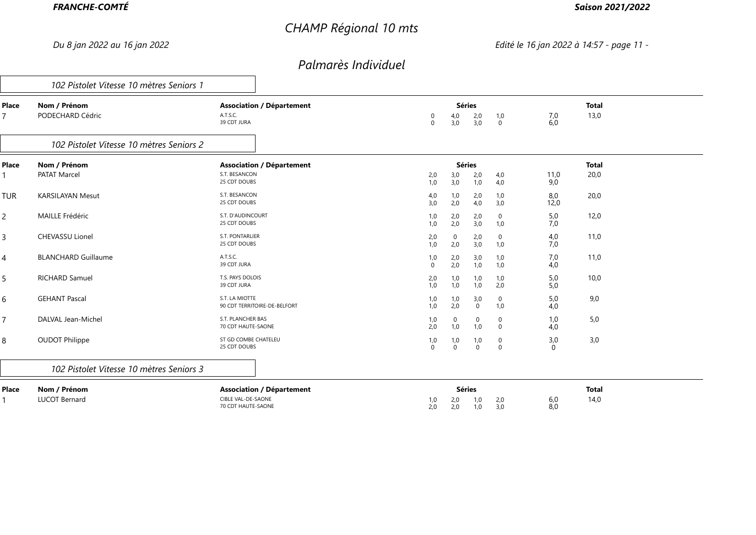# *CHAMP Régional 10 mts*

### *Saison 2021/2022*

*Du 8 jan 2022 au 16 jan 2022 Edité le 16 jan 2022 à 14:57 - page 11 -*

|                | 102 Pistolet Vitesse 10 mètres Seniors 1 |                                                                              |                 |                     |                             |                            |                     |                      |  |
|----------------|------------------------------------------|------------------------------------------------------------------------------|-----------------|---------------------|-----------------------------|----------------------------|---------------------|----------------------|--|
| Place          | Nom / Prénom<br>PODECHARD Cédric         | <b>Association / Département</b><br>A.T.S.C.<br>39 CDT JURA                  | 0<br>$\Omega$   | 4,0<br>3,0          | <b>Séries</b><br>2,0<br>3,0 | 1,0<br>$\mathbf 0$         | $7,0$<br>6,0        | <b>Total</b><br>13,0 |  |
|                | 102 Pistolet Vitesse 10 mètres Seniors 2 |                                                                              |                 |                     |                             |                            |                     |                      |  |
| Place          | Nom / Prénom<br><b>PATAT Marcel</b>      | <b>Association / Département</b><br>S.T. BESANCON<br>25 CDT DOUBS            | 2,0<br>1,0      | 3,0<br>3,0          | <b>Séries</b><br>2,0<br>1,0 | 4,0<br>4,0                 | 11,0<br>9,0         | <b>Total</b><br>20,0 |  |
| <b>TUR</b>     | <b>KARSILAYAN Mesut</b>                  | S.T. BESANCON<br>25 CDT DOUBS                                                | 4,0<br>3.0      | 1,0<br>2,0          | 2,0<br>4,0                  | 1,0<br>3,0                 | 8,0<br>12,0         | 20,0                 |  |
| $\mathsf{2}\,$ | <b>MAILLE Frédéric</b>                   | S.T. D'AUDINCOURT<br>25 CDT DOUBS                                            | 1,0<br>1,0      | 2,0<br>2,0          | 2,0<br>3,0                  | 0<br>1,0                   | 5,0<br>7,0          | 12,0                 |  |
| $\overline{3}$ | <b>CHEVASSU Lionel</b>                   | S.T. PONTARLIER<br>25 CDT DOUBS                                              | 2,0<br>1,0      | $\mathbf 0$<br>2,0  | 2,0<br>3,0                  | $\mathbf 0$<br>1,0         | 4,0<br>7,0          | 11,0                 |  |
| 4              | <b>BLANCHARD Guillaume</b>               | A.T.S.C.<br>39 CDT JURA                                                      | 1,0<br>$\Omega$ | 2,0<br>2,0          | 3,0<br>1,0                  | 1,0<br>1,0                 | 7,0<br>4,0          | 11,0                 |  |
| 5              | <b>RICHARD Samuel</b>                    | T.S. PAYS DOLOIS<br>39 CDT JURA                                              | $^{2,0}_{1,0}$  | 1,0<br>1,0          | 1,0<br>1,0                  | 1,0<br>2,0                 | $\frac{5,0}{5,0}$   | 10,0                 |  |
| $\sqrt{6}$     | <b>GEHANT Pascal</b>                     | S.T. LA MIOTTE<br>90 CDT TERRITOIRE-DE-BELFORT                               | 1,0<br>1,0      | 1,0<br>2,0          | 3,0<br>$\mathbf 0$          | $\mathbf 0$<br>1,0         | 5,0<br>4,0          | 9,0                  |  |
| $\overline{7}$ | DALVAL Jean-Michel                       | S.T. PLANCHER BAS<br>70 CDT HAUTE-SAONE                                      | 1,0<br>2,0      | 0<br>1,0            | 0<br>1,0                    | 0<br>$\Omega$              | 1,0<br>4,0          | 5,0                  |  |
| 8              | <b>OUDOT Philippe</b>                    | ST GD COMBE CHATELEU<br>25 CDT DOUBS                                         | 1,0<br>$\Omega$ | 1,0<br>$\mathbf{0}$ | 1,0<br>$\mathbf 0$          | $\mathbf 0$<br>$\mathbf 0$ | 3,0<br>$\mathbf{0}$ | 3,0                  |  |
|                | 102 Pistolet Vitesse 10 mètres Seniors 3 |                                                                              |                 |                     |                             |                            |                     |                      |  |
| Place          | Nom / Prénom<br><b>LUCOT Bernard</b>     | <b>Association / Département</b><br>CIBLE VAL-DE-SAONE<br>70 CDT HAUTE-SAONE | 1,0<br>2,0      | 2,0<br>2,0          | <b>Séries</b><br>1,0<br>1,0 | 2,0<br>3,0                 | 6,0<br>8,0          | <b>Total</b><br>14,0 |  |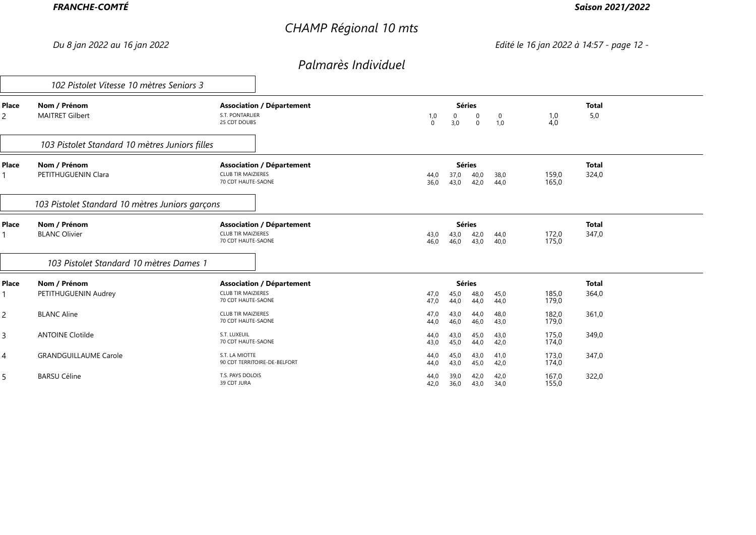# *CHAMP Régional 10 mts*

### *Saison 2021/2022*

*Du 8 jan 2022 au 16 jan 2022 Edité le 16 jan 2022 à 14:57 - page 12 -*

|            | 102 Pistolet Vitesse 10 mètres Seniors 3        |                                                                                     |                                                                                 |                                         |  |
|------------|-------------------------------------------------|-------------------------------------------------------------------------------------|---------------------------------------------------------------------------------|-----------------------------------------|--|
| Place<br>2 | Nom / Prénom<br><b>MAITRET Gilbert</b>          | <b>Association / Département</b><br>S.T. PONTARLIER<br>25 CDT DOUBS                 | <b>Séries</b><br>0<br>1,0<br>0<br>0<br>$\overline{0}$<br>1,0<br>3,0<br>$\Omega$ | <b>Total</b><br>5,0<br>1,0<br>4,0       |  |
|            | 103 Pistolet Standard 10 mètres Juniors filles  |                                                                                     |                                                                                 |                                         |  |
| Place      | Nom / Prénom<br>PETITHUGUENIN Clara             | <b>Association / Département</b><br><b>CLUB TIR MAIZIERES</b><br>70 CDT HAUTE-SAONE | <b>Séries</b><br>40,0<br>38,0<br>37,0<br>44,0<br>36,0<br>43,0<br>42,0<br>44,0   | <b>Total</b><br>324,0<br>159,0<br>165,0 |  |
|            | 103 Pistolet Standard 10 mètres Juniors garçons |                                                                                     |                                                                                 |                                         |  |
| Place      | Nom / Prénom<br><b>BLANC Olivier</b>            | <b>Association / Département</b><br><b>CLUB TIR MAIZIERES</b><br>70 CDT HAUTE-SAONE | <b>Séries</b><br>42,0<br>44,0<br>43,0<br>43,0<br>46,0<br>46,0<br>43,0<br>40,0   | <b>Total</b><br>347,0<br>172,0<br>175,0 |  |
|            | 103 Pistolet Standard 10 mètres Dames 1         |                                                                                     |                                                                                 |                                         |  |
| Place      | Nom / Prénom<br>PETITHUGUENIN Audrey            | <b>Association / Département</b><br><b>CLUB TIR MAIZIERES</b><br>70 CDT HAUTE-SAONE | <b>Séries</b><br>45,0<br>48,0<br>45,0<br>47,0<br>44,0<br>47,0<br>44,0<br>44,0   | <b>Total</b><br>364,0<br>185,0<br>179,0 |  |
| 2          | <b>BLANC Aline</b>                              | <b>CLUB TIR MAIZIERES</b><br>70 CDT HAUTE-SAONE                                     | 43,0<br>44,0<br>48,0<br>47,0<br>46,0<br>46,0<br>44,0<br>43,0                    | 182,0<br>361,0<br>179,0                 |  |
| 3          | <b>ANTOINE Clotilde</b>                         | S.T. LUXEUIL<br>70 CDT HAUTE-SAONE                                                  | 43,0<br>43,0<br>45,0<br>44,0<br>43,0<br>45,0<br>44,0<br>42,0                    | 175,0<br>349,0<br>174,0                 |  |
| 4          | <b>GRANDGUILLAUME Carole</b>                    | S.T. LA MIOTTE<br>90 CDT TERRITOIRE-DE-BELFORT                                      | 45,0<br>41,0<br>43,0<br>44,0<br>43,0<br>45,0<br>42,0<br>44,0                    | 347,0<br>173,0<br>174,0                 |  |
| 5          | <b>BARSU Céline</b>                             | T.S. PAYS DOLOIS<br>39 CDT JURA                                                     | 39,0<br>42,0<br>42,0<br>44,0<br>36,0<br>43,0<br>34,0<br>42,0                    | 322,0<br>167,0<br>155,0                 |  |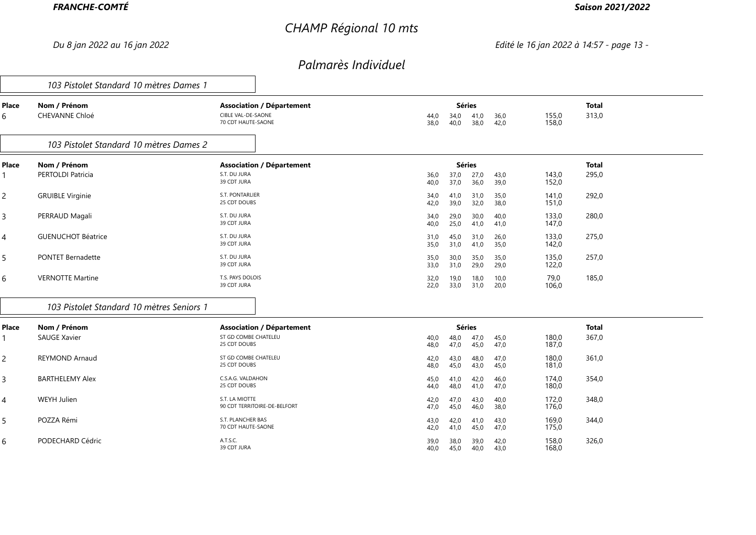# *CHAMP Régional 10 mts*

### *Saison 2021/2022*

*Du 8 jan 2022 au 16 jan 2022 Edité le 16 jan 2022 à 14:57 - page 13 -*

|                | 103 Pistolet Standard 10 mètres Dames 1   |                                                                              |              |                                               |              |                |                       |  |
|----------------|-------------------------------------------|------------------------------------------------------------------------------|--------------|-----------------------------------------------|--------------|----------------|-----------------------|--|
| Place<br>6     | Nom / Prénom<br>CHEVANNE Chloé            | <b>Association / Département</b><br>CIBLE VAL-DE-SAONE<br>70 CDT HAUTE-SAONE | 44,0<br>38.0 | <b>Séries</b><br>41,0<br>34,0<br>38,0<br>40,0 | 36,0<br>42,0 | 155,0<br>158,0 | <b>Total</b><br>313,0 |  |
|                | 103 Pistolet Standard 10 mètres Dames 2   |                                                                              |              |                                               |              |                |                       |  |
| <b>Place</b>   | Nom / Prénom<br>PERTOLDI Patricia         | <b>Association / Département</b><br>S.T. DU JURA<br>39 CDT JURA              | 36,0<br>40,0 | <b>Séries</b><br>27,0<br>37,0<br>36,0<br>37,0 | 43,0<br>39,0 | 143,0<br>152,0 | <b>Total</b><br>295,0 |  |
| $\overline{c}$ | <b>GRUIBLE Virginie</b>                   | S.T. PONTARLIER<br>25 CDT DOUBS                                              | 34,0<br>42,0 | 41,0<br>31,0<br>32,0<br>39,0                  | 35,0<br>38,0 | 141,0<br>151,0 | 292,0                 |  |
| 3              | PERRAUD Magali                            | S.T. DU JURA<br>39 CDT JURA                                                  | 34,0<br>40,0 | 29,0<br>30,0<br>25,0<br>41,0                  | 40,0<br>41,0 | 133,0<br>147,0 | 280,0                 |  |
| 4              | <b>GUENUCHOT Béatrice</b>                 | S.T. DU JURA<br>39 CDT JURA                                                  | 31,0<br>35,0 | 45,0<br>31,0<br>31,0<br>41,0                  | 26,0<br>35,0 | 133,0<br>142,0 | 275,0                 |  |
| 5              | <b>PONTET Bernadette</b>                  | S.T. DU JURA<br>39 CDT JURA                                                  | 35,0<br>33,0 | 30,0<br>35,0<br>31,0<br>29,0                  | 35,0<br>29,0 | 135,0<br>122,0 | 257,0                 |  |
| 6              | <b>VERNOTTE Martine</b>                   | T.S. PAYS DOLOIS<br>39 CDT JURA                                              | 32,0<br>22,0 | 19,0<br>18,0<br>33,0<br>31,0                  | 10,0<br>20,0 | 79,0<br>106,0  | 185,0                 |  |
|                | 103 Pistolet Standard 10 mètres Seniors 1 |                                                                              |              |                                               |              |                |                       |  |
| Place          | Nom / Prénom                              | <b>Association / Département</b>                                             |              | <b>Séries</b>                                 |              |                | <b>Total</b>          |  |
|                | <b>SAUGE Xavier</b>                       | ST GD COMBE CHATELEU<br>25 CDT DOUBS                                         | 40,0<br>48,0 | 47,0<br>48,0<br>47,0<br>45,0                  | 45,0<br>47,0 | 180,0<br>187,0 | 367,0                 |  |
| $\overline{c}$ | <b>REYMOND Arnaud</b>                     | ST GD COMBE CHATELEU<br>25 CDT DOUBS                                         | 42,0<br>48,0 | 43,0<br>48,0<br>45,0<br>43,0                  | 47,0<br>45,0 | 180,0<br>181,0 | 361,0                 |  |
| 3              | <b>BARTHELEMY Alex</b>                    | C.S.A.G. VALDAHON<br>25 CDT DOUBS                                            | 45,0<br>44,0 | 41,0<br>42,0<br>48,0<br>41,0                  | 46,0<br>47,0 | 174,0<br>180,0 | 354,0                 |  |
| 4              | WEYH Julien                               | S.T. LA MIOTTE<br>90 CDT TERRITOIRE-DE-BELFORT                               | 42,0<br>47,0 | 47,0<br>43,0<br>45,0<br>46,0                  | 40,0<br>38,0 | 172,0<br>176,0 | 348,0                 |  |
| 5              | POZZA Rémi                                | S.T. PLANCHER BAS<br>70 CDT HAUTE-SAONE                                      | 43,0<br>42,0 | 42,0<br>41,0<br>41,0<br>45,0                  | 43,0<br>47,0 | 169,0<br>175,0 | 344,0                 |  |
| 6              | PODECHARD Cédric                          | A.T.S.C.<br>39 CDT JURA                                                      | 39,0<br>40.0 | 38,0<br>39,0<br>40.0<br>45.0                  | 42,0<br>43.0 | 158,0<br>168.0 | 326,0                 |  |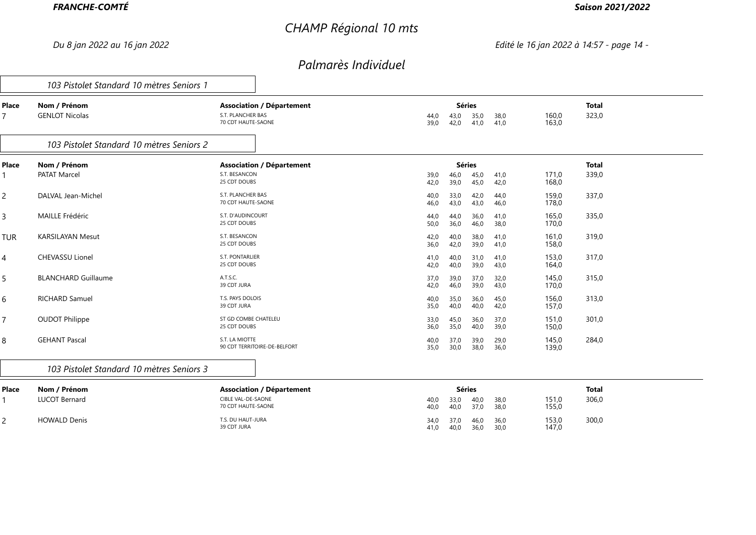# *CHAMP Régional 10 mts*

### *Saison 2021/2022*

*Du 8 jan 2022 au 16 jan 2022 Edité le 16 jan 2022 à 14:57 - page 14 -*

|                         | 103 Pistolet Standard 10 mètres Seniors 1 |                                                                             |              |                               |              |              |                |                       |  |
|-------------------------|-------------------------------------------|-----------------------------------------------------------------------------|--------------|-------------------------------|--------------|--------------|----------------|-----------------------|--|
| Place<br>$\overline{7}$ | Nom / Prénom<br><b>GENLOT Nicolas</b>     | <b>Association / Département</b><br>S.T. PLANCHER BAS<br>70 CDT HAUTE-SAONE | 44,0<br>39,0 | <b>Séries</b><br>43,0<br>42,0 | 35,0<br>41,0 | 38,0<br>41,0 | 160,0<br>163,0 | <b>Total</b><br>323,0 |  |
|                         | 103 Pistolet Standard 10 mètres Seniors 2 |                                                                             |              |                               |              |              |                |                       |  |
| Place                   | Nom / Prénom                              | <b>Association / Département</b>                                            |              | <b>Séries</b>                 |              |              |                | <b>Total</b>          |  |
|                         | <b>PATAT Marcel</b>                       | S.T. BESANCON<br>25 CDT DOUBS                                               | 39,0<br>42,0 | 46,0<br>39,0                  | 45,0<br>45,0 | 41,0<br>42,0 | 171,0<br>168,0 | 339,0                 |  |
| $\overline{2}$          | DALVAL Jean-Michel                        | S.T. PLANCHER BAS<br>70 CDT HAUTE-SAONE                                     | 40,0<br>46,0 | 33,0<br>43,0                  | 42,0<br>43,0 | 44,0<br>46,0 | 159,0<br>178,0 | 337,0                 |  |
| $\mathsf{3}$            | <b>MAILLE Frédéric</b>                    | S.T. D'AUDINCOURT<br>25 CDT DOUBS                                           | 44,0<br>50,0 | 44,0<br>36,0                  | 36,0<br>46,0 | 41,0<br>38,0 | 165,0<br>170,0 | 335,0                 |  |
| <b>TUR</b>              | <b>KARSILAYAN Mesut</b>                   | S.T. BESANCON<br>25 CDT DOUBS                                               | 42,0<br>36,0 | 40,0<br>42,0                  | 38,0<br>39,0 | 41,0<br>41,0 | 161,0<br>158,0 | 319,0                 |  |
| 4                       | <b>CHEVASSU Lionel</b>                    | S.T. PONTARLIER<br>25 CDT DOUBS                                             | 41,0<br>42,0 | 40,0<br>40,0                  | 31,0<br>39,0 | 41,0<br>43,0 | 153,0<br>164,0 | 317,0                 |  |
| 5                       | <b>BLANCHARD Guillaume</b>                | A.T.S.C.<br>39 CDT JURA                                                     | 37,0<br>42,0 | 39,0<br>46,0                  | 37,0<br>39,0 | 32,0<br>43,0 | 145,0<br>170,0 | 315,0                 |  |
| 6                       | <b>RICHARD Samuel</b>                     | T.S. PAYS DOLOIS<br>39 CDT JURA                                             | 40,0<br>35,0 | 35,0<br>40,0                  | 36,0<br>40,0 | 45,0<br>42,0 | 156,0<br>157,0 | 313,0                 |  |
| $\overline{7}$          | <b>OUDOT Philippe</b>                     | ST GD COMBE CHATELEU<br>25 CDT DOUBS                                        | 33,0<br>36,0 | 45,0<br>35,0                  | 36,0<br>40,0 | 37,0<br>39,0 | 151,0<br>150,0 | 301,0                 |  |
| 8                       | <b>GEHANT Pascal</b>                      | S.T. LA MIOTTE<br>90 CDT TERRITOIRE-DE-BELFORT                              | 40,0<br>35,0 | 37,0<br>30,0                  | 39,0<br>38,0 | 29,0<br>36,0 | 145,0<br>139,0 | 284,0                 |  |
|                         | 103 Pistolet Standard 10 mètres Seniors 3 |                                                                             |              |                               |              |              |                |                       |  |
| Place                   | Nom / Prénom                              | <b>Association / Département</b>                                            |              | <b>Séries</b>                 |              |              |                | <b>Total</b>          |  |
|                         | <b>LUCOT Bernard</b>                      | CIBLE VAL-DE-SAONE<br>70 CDT HAUTE-SAONE                                    | 40,0<br>40,0 | 33,0<br>40,0                  | 40,0<br>37,0 | 38,0<br>38,0 | 151,0<br>155,0 | 306,0                 |  |
| $\overline{2}$          | <b>HOWALD Denis</b>                       | T.S. DU HAUT-JURA<br>39 CDT JURA                                            | 34,0<br>41,0 | 37,0<br>40,0                  | 46,0<br>36,0 | 36,0<br>30,0 | 153,0<br>147,0 | 300,0                 |  |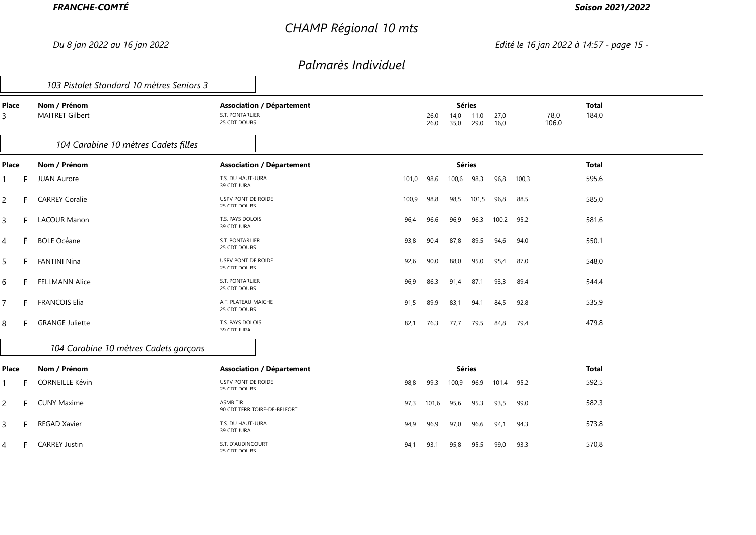# *CHAMP Régional 10 mts*

### *Saison 2021/2022*

*Du 8 jan 2022 au 16 jan 2022 Edité le 16 jan 2022 à 14:57 - page 15 -*

|                |    | 103 Pistolet Standard 10 mètres Seniors 3 |                                         |                                  |       |              |                               |              |              |       |               |                       |
|----------------|----|-------------------------------------------|-----------------------------------------|----------------------------------|-------|--------------|-------------------------------|--------------|--------------|-------|---------------|-----------------------|
| Place<br>3     |    | Nom / Prénom<br><b>MAITRET Gilbert</b>    | S.T. PONTARLIER<br>25 CDT DOUBS         | <b>Association / Département</b> |       | 26,0<br>26,0 | <b>Séries</b><br>14,0<br>35,0 | 11,0<br>29,0 | 27,0<br>16,0 |       | 78,0<br>106,0 | <b>Total</b><br>184,0 |
|                |    | 104 Carabine 10 mètres Cadets filles      |                                         |                                  |       |              |                               |              |              |       |               |                       |
| <b>Place</b>   |    | Nom / Prénom                              |                                         | <b>Association / Département</b> |       |              | <b>Séries</b>                 |              |              |       |               | <b>Total</b>          |
| 1              |    | <b>JUAN Aurore</b>                        | T.S. DU HAUT-JURA<br>39 CDT JURA        |                                  | 101,0 | 98,6         | 100,6                         | 98,3         | 96,8         | 100,3 |               | 595,6                 |
| $\overline{2}$ | F. | <b>CARREY Coralie</b>                     | USPV PONT DE ROIDE<br>25 CDT DOLIBS     |                                  | 100,9 | 98,8         | 98,5                          | 101,5        | 96,8         | 88,5  |               | 585,0                 |
| $\overline{3}$ |    | <b>LACOUR Manon</b>                       | T.S. PAYS DOLOIS<br>39 CDT ILIRA        |                                  | 96,4  | 96,6         | 96,9                          | 96,3         | 100,2        | 95,2  |               | 581,6                 |
| $\overline{4}$ | F. | <b>BOLE Océane</b>                        | S.T. PONTARLIER<br>25 CDT DOUBS         |                                  | 93,8  | 90,4         | 87,8                          | 89,5         | 94,6         | 94,0  |               | 550,1                 |
| 5              | F. | <b>FANTINI Nina</b>                       | USPV PONT DE ROIDE<br>25 CDT DOLIBS     |                                  | 92,6  | 90,0         | 88,0                          | 95,0         | 95,4         | 87,0  |               | 548,0                 |
| 6              |    | <b>FELLMANN Alice</b>                     | S.T. PONTARLIER<br>25 CDT DOLIBS        |                                  | 96,9  | 86,3         | 91,4                          | 87,1         | 93,3         | 89,4  |               | 544,4                 |
| $\overline{7}$ | F. | <b>FRANCOIS Elia</b>                      | A.T. PLATEAU MAICHE<br>25 CDT DOUBS     |                                  | 91,5  | 89,9         | 83,1                          | 94,1         | 84,5         | 92,8  |               | 535,9                 |
| 8              | F. | <b>GRANGE Juliette</b>                    | T.S. PAYS DOLOIS<br><b>39 CDT ILIRA</b> |                                  | 82,1  | 76,3         | 77,7                          | 79,5         | 84,8         | 79,4  |               | 479,8                 |
|                |    | 104 Carabine 10 mètres Cadets garçons     |                                         |                                  |       |              |                               |              |              |       |               |                       |
| <b>Place</b>   |    | Nom / Prénom                              |                                         | <b>Association / Département</b> |       |              | <b>Séries</b>                 |              |              |       |               | <b>Total</b>          |
| $\mathbf{1}$   |    | <b>CORNEILLE Kévin</b>                    | USPV PONT DE ROIDE<br>$25$ CDT DOLIBS   |                                  | 98,8  | 99,3         | 100,9                         | 96,9         | 101,4        | 95,2  |               | 592,5                 |
| $\overline{2}$ | F. | <b>CUNY Maxime</b>                        | <b>ASMB TIR</b>                         | 90 CDT TERRITOIRE-DE-REI FORT    | 97,3  | 101,6        | 95,6                          | 95,3         | 93,5         | 99,0  |               | 582,3                 |
| $\overline{3}$ |    | <b>REGAD Xavier</b>                       | T.S. DU HAUT-JURA<br>39 CDT JURA        |                                  | 94,9  | 96,9         | 97,0                          | 96,6         | 94,1         | 94,3  |               | 573,8                 |
| $\overline{4}$ |    | <b>CARREY Justin</b>                      | S.T. D'AUDINCOURT<br>25 CDT DOLIBS      |                                  | 94,1  | 93,1         | 95,8                          | 95,5         | 99,0         | 93,3  |               | 570,8                 |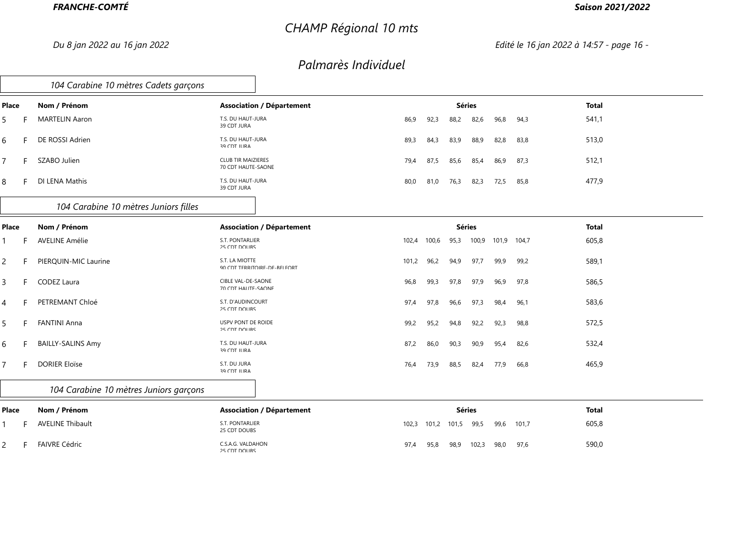# *CHAMP Régional 10 mts*

### *Saison 2021/2022*

*Du 8 jan 2022 au 16 jan 2022 Edité le 16 jan 2022 à 14:57 - page 16 -*

|       |   | 104 Carabine 10 mètres Cadets garçons  |                                                  |                                  |       |       |       |               |       |       |              |  |
|-------|---|----------------------------------------|--------------------------------------------------|----------------------------------|-------|-------|-------|---------------|-------|-------|--------------|--|
| Place |   | Nom / Prénom                           |                                                  | <b>Association / Département</b> |       |       |       | <b>Séries</b> |       |       | <b>Total</b> |  |
| 5     |   | <b>MARTELIN Aaron</b>                  | T.S. DU HAUT-JURA<br>39 CDT JURA                 |                                  | 86,9  | 92,3  | 88,2  | 82,6          | 96,8  | 94,3  | 541,1        |  |
| 6     |   | DE ROSSI Adrien                        | T.S. DU HAUT-JURA<br>39 CDT ILIRA                |                                  | 89,3  | 84,3  | 83,9  | 88,9          | 82,8  | 83,8  | 513,0        |  |
| 7     | F | SZABO Julien                           | <b>CLUB TIR MAIZIERES</b><br>70 CDT HALITE-SAONE |                                  | 79,4  | 87,5  | 85,6  | 85,4          | 86,9  | 87,3  | 512,1        |  |
| 8     |   | DI LENA Mathis                         | T.S. DU HAUT-JURA<br>39 CDT JURA                 |                                  | 80,0  | 81,0  | 76,3  | 82,3          | 72,5  | 85,8  | 477,9        |  |
|       |   | 104 Carabine 10 mètres Juniors filles  |                                                  |                                  |       |       |       |               |       |       |              |  |
| Place |   | Nom / Prénom                           |                                                  | <b>Association / Département</b> |       |       |       | <b>Séries</b> |       |       | <b>Total</b> |  |
|       |   | <b>AVELINE Amélie</b>                  | S.T. PONTARLIER<br>25 CDT DOUBS                  |                                  | 102,4 | 100,6 | 95,3  | 100,9         | 101,9 | 104,7 | 605,8        |  |
| 2     |   | PIERQUIN-MIC Laurine                   | S.T. LA MIOTTE                                   | 90 CDT TERRITOIRE-DE-REI FORT    | 101,2 | 96,2  | 94,9  | 97,7          | 99,9  | 99,2  | 589,1        |  |
| 3     |   | CODEZ Laura                            | <b>CIBLE VAL-DE-SAONE</b><br>70 CDT HALITE-SAONE |                                  | 96,8  | 99,3  | 97,8  | 97,9          | 96,9  | 97,8  | 586,5        |  |
| 4     |   | PETREMANT Chloé                        | S.T. D'AUDINCOURT<br>25 CDT DOUBS                |                                  | 97,4  | 97,8  | 96,6  | 97,3          | 98,4  | 96,1  | 583,6        |  |
| 5     |   | <b>FANTINI Anna</b>                    | USPV PONT DE ROIDE<br>25 CDT DOLIBS              |                                  | 99,2  | 95,2  | 94,8  | 92,2          | 92,3  | 98,8  | 572,5        |  |
| 6     |   | <b>BAILLY-SALINS Amy</b>               | T.S. DU HAUT-JURA<br>39 CDT ILIRA                |                                  | 87,2  | 86,0  | 90,3  | 90,9          | 95,4  | 82,6  | 532,4        |  |
| 7     |   | <b>DORIER Eloïse</b>                   | S.T. DU JURA<br>39 CDT JURA                      |                                  | 76,4  | 73,9  | 88,5  | 82,4          | 77,9  | 66,8  | 465,9        |  |
|       |   | 104 Carabine 10 mètres Juniors garçons |                                                  |                                  |       |       |       |               |       |       |              |  |
| Place |   | Nom / Prénom                           |                                                  | <b>Association / Département</b> |       |       |       | <b>Séries</b> |       |       | <b>Total</b> |  |
|       |   | <b>AVELINE Thibault</b>                | S.T. PONTARLIER<br>25 CDT DOUBS                  |                                  | 102,3 | 101,2 | 101,5 | 99,5          | 99,6  | 101,7 | 605,8        |  |
| 2     |   | <b>FAIVRE Cédric</b>                   | C.S.A.G. VALDAHON<br>25 CDT DOLIRS               |                                  | 97,4  | 95,8  | 98,9  | 102,3         | 98,0  | 97,6  | 590,0        |  |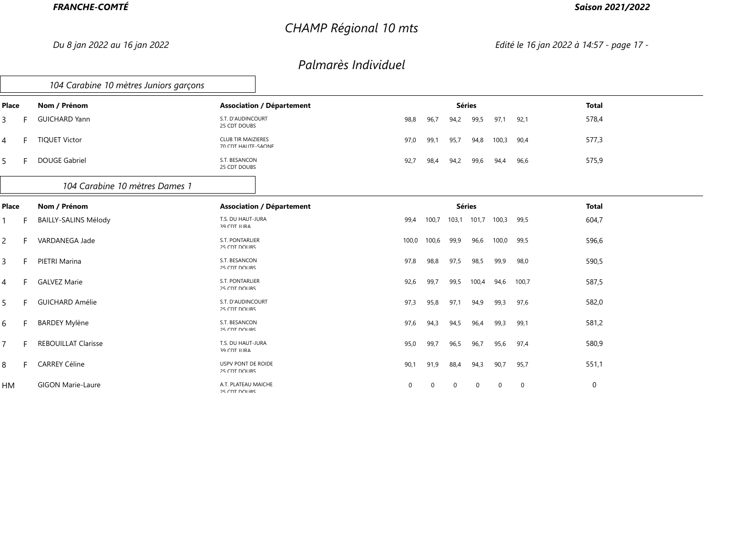# *CHAMP Régional 10 mts*

### *Saison 2021/2022*

*Du 8 jan 2022 au 16 jan 2022 Edité le 16 jan 2022 à 14:57 - page 17 -*

|                |    | 104 Carabine 10 mètres Juniors garçons |                                                  |                                  |          |       |               |              |             |                |              |
|----------------|----|----------------------------------------|--------------------------------------------------|----------------------------------|----------|-------|---------------|--------------|-------------|----------------|--------------|
| Place          |    | Nom / Prénom                           |                                                  | <b>Association / Département</b> |          |       | <b>Séries</b> |              |             |                | <b>Total</b> |
| 3              | F. | <b>GUICHARD Yann</b>                   | S.T. D'AUDINCOURT<br>25 CDT DOUBS                |                                  | 98,8     | 96,7  | 94,2          | 99,5         | 97,1        | 92,1           | 578,4        |
| 4              | F. | <b>TIQUET Victor</b>                   | <b>CLUB TIR MAIZIERES</b><br>70 CDT HALITE-SAONE |                                  | 97,0     | 99,1  | 95,7          | 94,8         | 100,3       | 90,4           | 577,3        |
| 5              | F. | <b>DOUGE Gabriel</b>                   | S.T. BESANCON<br>25 CDT DOUBS                    |                                  | 92,7     | 98,4  | 94,2          | 99,6         | 94,4        | 96,6           | 575,9        |
|                |    | 104 Carabine 10 mètres Dames 1         |                                                  |                                  |          |       |               |              |             |                |              |
| Place          |    | Nom / Prénom                           |                                                  | <b>Association / Département</b> |          |       | <b>Séries</b> |              |             |                | <b>Total</b> |
| $\mathbf{1}$   | F  | <b>BAILLY-SALINS Mélody</b>            | T.S. DU HAUT-JURA<br>39 CDT ILIRA                |                                  | 99,4     | 100,7 | 103,1         | 101,7 100,3  |             | 99,5           | 604,7        |
| $\overline{c}$ |    | VARDANEGA Jade                         | S.T. PONTARLIER<br>25 CDT DOUBS                  |                                  | 100,0    | 100,6 | 99,9          | 96,6         | 100,0       | 99,5           | 596,6        |
| $\mathsf{3}$   | F. | PIETRI Marina                          | S.T. BESANCON<br>25 CDT DOLIBS                   |                                  | 97,8     | 98,8  | 97,5          | 98,5         | 99,9        | 98,0           | 590,5        |
| 4              | F. | <b>GALVEZ Marie</b>                    | S.T. PONTARLIER<br>25 CDT DOLIBS                 |                                  | 92,6     | 99,7  | 99,5          | 100,4        | 94,6        | 100,7          | 587,5        |
| 5              | F. | <b>GUICHARD Amélie</b>                 | S.T. D'AUDINCOURT<br>25 CDT DOUBS                |                                  | 97,3     | 95,8  | 97,1          | 94,9         | 99,3        | 97,6           | 582,0        |
| 6              | F. | <b>BARDEY Mylène</b>                   | S.T. BESANCON<br>25 CDT DOLIBS                   |                                  | 97,6     | 94,3  | 94,5          | 96,4         | 99,3        | 99,1           | 581,2        |
| $\overline{7}$ | F. | <b>REBOUILLAT Clarisse</b>             | T.S. DU HAUT-JURA<br>39 CDT ILIRA                |                                  | 95,0     | 99,7  | 96,5          | 96,7         | 95,6        | 97,4           | 580,9        |
| 8              | Е. | <b>CARREY Céline</b>                   | USPV PONT DE ROIDE<br>25 CDT DOUBS               |                                  | 90,1     | 91,9  | 88,4          | 94,3         | 90,7        | 95,7           | 551,1        |
| <b>HM</b>      |    | <b>GIGON Marie-Laure</b>               | A.T. PLATEAU MAICHE<br>25 CDT DOLIRS             |                                  | $\Omega$ | 0     | $\mathbf 0$   | $\mathbf{0}$ | $\mathbf 0$ | $\overline{0}$ | 0            |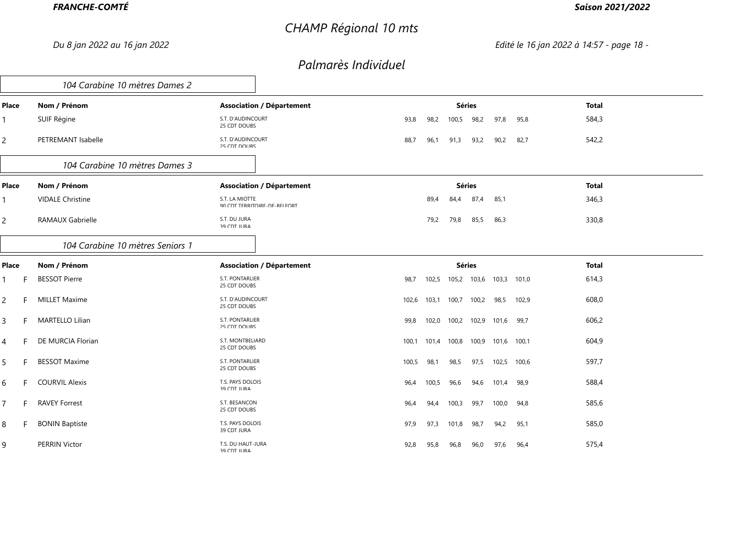# *CHAMP Régional 10 mts*

### *Saison 2021/2022*

*Du 8 jan 2022 au 16 jan 2022 Edité le 16 jan 2022 à 14:57 - page 18 -*

|                     | 104 Carabine 10 mètres Dames 2   |                                                 |                                                   |              |
|---------------------|----------------------------------|-------------------------------------------------|---------------------------------------------------|--------------|
| Place               | Nom / Prénom                     | <b>Association / Département</b>                | <b>Séries</b>                                     | <b>Total</b> |
| 1                   | SUIF Régine                      | S.T. D'AUDINCOURT<br>25 CDT DOUBS               | 98,2<br>97,8<br>93,8<br>98,2<br>95,8<br>100,5     | 584,3        |
| $\overline{2}$      | PETREMANT Isabelle               | S.T. D'AUDINCOURT<br>25 CDT DOLIBS              | 88,7<br>90,2<br>96,1<br>91,3<br>93,2<br>82,7      | 542,2        |
|                     | 104 Carabine 10 mètres Dames 3   |                                                 |                                                   |              |
| Place               | Nom / Prénom                     | <b>Association / Département</b>                | <b>Séries</b>                                     | <b>Total</b> |
| $\mathbf{1}$        | <b>VIDALE Christine</b>          | S.T. LA MIOTTE<br>90 CDT TERRITOIRE-DE-REI FORT | 87,4<br>85,1<br>89,4<br>84,4                      | 346,3        |
| $\overline{2}$      | RAMAUX Gabrielle                 | S.T. DU JURA<br>39 CDT ILIRA                    | 79,8<br>85,5<br>86,3<br>79,2                      | 330,8        |
|                     | 104 Carabine 10 mètres Seniors 1 |                                                 |                                                   |              |
| Place               | Nom / Prénom                     | <b>Association / Département</b>                | <b>Séries</b>                                     | <b>Total</b> |
| $\mathbf{1}$<br>F   | <b>BESSOT Pierre</b>             | S.T. PONTARLIER<br>25 CDT DOURS                 | 103,3 101,0<br>98,7<br>102,5<br>105,2 103,6       | 614,3        |
| $\overline{2}$      | <b>MILLET Maxime</b><br>F.       | S.T. D'AUDINCOURT<br>25 CDT DOUBS               | 98,5<br>103,1<br>100,7<br>100,2<br>102,9<br>102,6 | 608,0        |
| $\overline{3}$      | <b>MARTELLO Lilian</b><br>F.     | S.T. PONTARLIER<br>$25$ CDT DOLIRS              | 102,0<br>100,2<br>102,9<br>101,6 99,7<br>99,8     | 606,2        |
| $\overline{4}$<br>F | DE MURCIA Florian                | S.T. MONTBELIARD<br>25 CDT DOLIBS               | 100,8<br>100,9<br>101,6 100,1<br>100,1<br>101,4   | 604,9        |
| 5                   | <b>BESSOT Maxime</b><br>F.       | S.T. PONTARLIER<br>25 CDT DOUBS                 | 98,1<br>98,5<br>97,5<br>102,5 100,6<br>100,5      | 597,7        |
| 6                   | <b>COURVIL Alexis</b><br>F.      | T.S. PAYS DOLOIS<br><b>39 CDT ILIRA</b>         | 100,5<br>96,4<br>96,6<br>94,6<br>101,4 98,9       | 588,4        |
| $\overline{7}$      | <b>RAVEY Forrest</b><br>F.       | S.T. BESANCON<br>25 CDT DOURS                   | 100,0<br>96,4<br>94,4<br>100,3<br>99,7<br>94,8    | 585,6        |
| 8                   | <b>BONIN Baptiste</b><br>F.      | T.S. PAYS DOLOIS<br>39 CDT JURA                 | 97,9<br>97,3<br>101,8<br>98,7<br>94,2<br>95,1     | 585,0        |
| 9                   | <b>PERRIN Victor</b>             | T.S. DU HAUT-JURA<br><b>29 CDT ILIRA</b>        | 95,8<br>97,6<br>92,8<br>96,8<br>96,0<br>96,4      | 575,4        |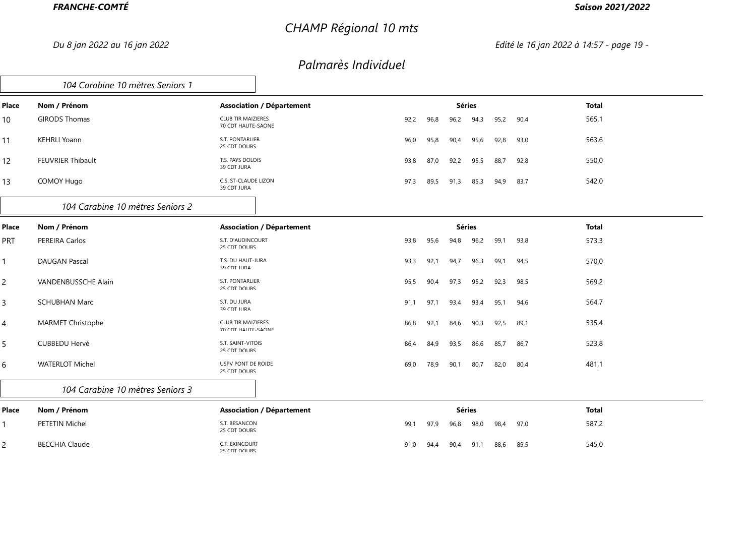# *CHAMP Régional 10 mts*

### *Saison 2021/2022*

*Du 8 jan 2022 au 16 jan 2022 Edité le 16 jan 2022 à 14:57 - page 19 -*

|                | 104 Carabine 10 mètres Seniors 1 |                                                  |      |      |               |      |      |      |              |
|----------------|----------------------------------|--------------------------------------------------|------|------|---------------|------|------|------|--------------|
| Place          | Nom / Prénom                     | <b>Association / Département</b>                 |      |      | <b>Séries</b> |      |      |      | <b>Total</b> |
| 10             | <b>GIRODS Thomas</b>             | <b>CLUB TIR MAIZIERES</b><br>70 CDT HAUTE-SAONE  | 92,2 | 96,8 | 96,2          | 94,3 | 95,2 | 90,4 | 565,1        |
| 11             | <b>KEHRLI Yoann</b>              | S.T. PONTARLIER<br>25 CDT DOLIBS                 | 96,0 | 95,8 | 90,4          | 95,6 | 92,8 | 93,0 | 563,6        |
| 12             | FEUVRIER Thibault                | T.S. PAYS DOLOIS<br>39 CDT ILIRA                 | 93,8 | 87,0 | 92,2          | 95,5 | 88,7 | 92,8 | 550,0        |
| 13             | COMOY Hugo                       | C.S. ST-CLAUDE LIZON<br>39 CDT JURA              | 97,3 | 89,5 | 91,3          | 85,3 | 94,9 | 83,7 | 542,0        |
|                | 104 Carabine 10 mètres Seniors 2 |                                                  |      |      |               |      |      |      |              |
| Place          | Nom / Prénom                     | <b>Association / Département</b>                 |      |      | <b>Séries</b> |      |      |      | <b>Total</b> |
| <b>PRT</b>     | PEREIRA Carlos                   | S.T. D'AUDINCOURT<br>25 CDT DOUBS                | 93,8 | 95,6 | 94,8          | 96,2 | 99,1 | 93,8 | 573,3        |
|                | <b>DAUGAN Pascal</b>             | T.S. DU HAUT-JURA<br>39 CDT ILIRA                | 93,3 | 92,1 | 94,7          | 96,3 | 99,1 | 94,5 | 570,0        |
| $\overline{2}$ | VANDENBUSSCHE Alain              | S.T. PONTARLIER<br>25 CDT DOLIBS                 | 95,5 | 90,4 | 97,3          | 95,2 | 92,3 | 98,5 | 569,2        |
| 3              | <b>SCHUBHAN Marc</b>             | S.T. DU JURA<br>39 CDT JURA                      | 91,1 | 97,1 | 93,4          | 93,4 | 95,1 | 94,6 | 564,7        |
| 4              | <b>MARMET Christophe</b>         | <b>CLUB TIR MAIZIERES</b><br>70 CDT HALITE-SAONE | 86,8 | 92,1 | 84,6          | 90,3 | 92,5 | 89,1 | 535,4        |
| 5              | CUBBEDU Hervé                    | S.T. SAINT-VITOIS<br>25 CDT DOLIBS               | 86,4 | 84,9 | 93,5          | 86,6 | 85,7 | 86,7 | 523,8        |
| 6              | <b>WATERLOT Michel</b>           | USPV PONT DE ROIDE<br>25 CDT DOUBS               | 69,0 | 78,9 | 90,1          | 80,7 | 82,0 | 80,4 | 481,1        |
|                | 104 Carabine 10 mètres Seniors 3 |                                                  |      |      |               |      |      |      |              |
| Place          | Nom / Prénom                     | <b>Association / Département</b>                 |      |      | <b>Séries</b> |      |      |      | <b>Total</b> |
|                | PETETIN Michel                   | S.T. BESANCON<br>25 CDT DOUBS                    | 99,1 | 97,9 | 96,8          | 98,0 | 98,4 | 97,0 | 587,2        |
| $\overline{2}$ | <b>BECCHIA Claude</b>            | C.T. EXINCOURT<br>25 CDT DOLIBS                  | 91,0 | 94,4 | 90,4          | 91,1 | 88,6 | 89,5 | 545,0        |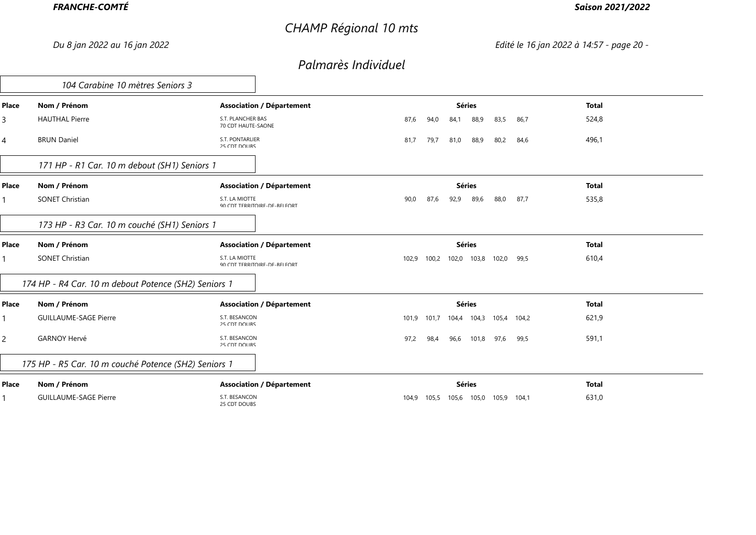# *CHAMP Régional 10 mts*

### *Saison 2021/2022*

*Du 8 jan 2022 au 16 jan 2022 Edité le 16 jan 2022 à 14:57 - page 20 -*

|                | 104 Carabine 10 mètres Seniors 3                     |                                                 |                |      |               |       |       |                         |              |
|----------------|------------------------------------------------------|-------------------------------------------------|----------------|------|---------------|-------|-------|-------------------------|--------------|
| Place          | Nom / Prénom                                         | <b>Association / Département</b>                |                |      | <b>Séries</b> |       |       |                         | <b>Total</b> |
| 3              | <b>HAUTHAL Pierre</b>                                | S.T. PLANCHER BAS<br>70 CDT HAUTE-SAONE         | 87,6<br>94.0   | 84,1 |               | 88,9  | 83,5  | 86,7                    | 524,8        |
| 4              | <b>BRUN Daniel</b>                                   | S.T. PONTARLIER<br>25 CDT DOLIBS                | 81,7<br>79,7   | 81,0 |               | 88,9  | 80,2  | 84,6                    | 496,1        |
|                | 171 HP - R1 Car. 10 m debout (SH1) Seniors 1         |                                                 |                |      |               |       |       |                         |              |
| Place          | Nom / Prénom                                         | <b>Association / Département</b>                |                |      | <b>Séries</b> |       |       |                         | <b>Total</b> |
|                | <b>SONET Christian</b>                               | S.T. LA MIOTTE<br>90 CDT TERRITOIRE-DE-REI FORT | 90,0<br>87,6   | 92,9 |               | 89,6  | 88,0  | 87,7                    | 535,8        |
|                | 173 HP - R3 Car. 10 m couché (SH1) Seniors 1         |                                                 |                |      |               |       |       |                         |              |
| Place          | Nom / Prénom                                         | <b>Association / Département</b>                |                |      | <b>Séries</b> |       |       |                         | <b>Total</b> |
|                | <b>SONET Christian</b>                               | S.T. LA MIOTTE<br>90 CDT TERRITOIRE-DE-RELEORT  | 102,9<br>100,2 |      | 102,0 103,8   |       | 102,0 | 99,5                    | 610,4        |
|                | 174 HP - R4 Car. 10 m debout Potence (SH2) Seniors 1 |                                                 |                |      |               |       |       |                         |              |
| Place          | Nom / Prénom                                         | <b>Association / Département</b>                |                |      | <b>Séries</b> |       |       |                         | <b>Total</b> |
|                | <b>GUILLAUME-SAGE Pierre</b>                         | S.T. BESANCON<br>25 CDT DOLIBS                  | 101,9<br>101,7 |      |               |       |       | 104,4 104,3 105,4 104,2 | 621,9        |
| $\overline{c}$ | <b>GARNOY Hervé</b>                                  | S.T. BESANCON<br>25 CDT DOLIBS                  | 97,2<br>98,4   | 96,6 |               | 101,8 | 97,6  | 99,5                    | 591,1        |
|                | 175 HP - R5 Car. 10 m couché Potence (SH2) Seniors 1 |                                                 |                |      |               |       |       |                         |              |
| Place          | Nom / Prénom                                         | <b>Association / Département</b>                |                |      | <b>Séries</b> |       |       |                         | <b>Total</b> |
|                | <b>GUILLAUME-SAGE Pierre</b>                         | S.T. BESANCON<br>25 CDT DOLIBS                  | 104,9<br>105,5 |      |               |       |       | 105,6 105,0 105,9 104,1 | 631,0        |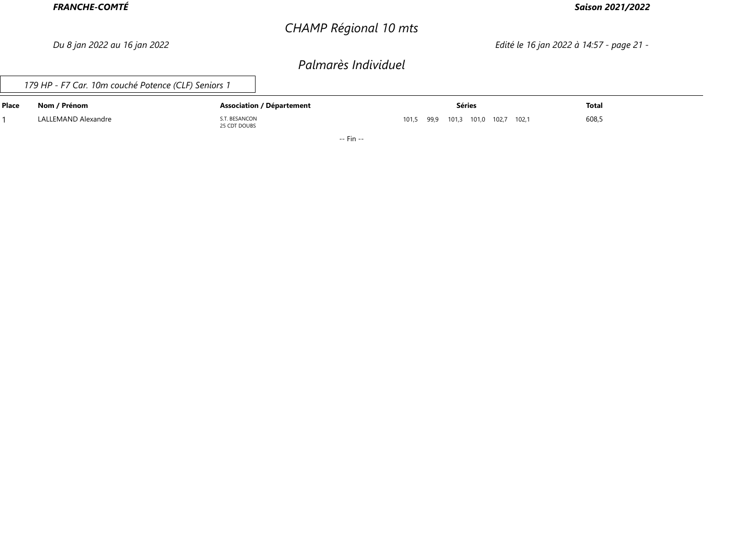# *CHAMP Régional 10 mts*

### *Saison 2021/2022*

*Du 8 jan 2022 au 16 jan 2022 Edité le 16 jan 2022 à 14:57 - page 21 -*

### *Palmarès Individuel*

*179 HP - F7 Car. 10m couché Potence (CLF) Seniors 1*

| <b>Place</b> | Nom / Prénom        | <b>Association / Département</b> | Séries                             | Total |
|--------------|---------------------|----------------------------------|------------------------------------|-------|
|              | LALLEMAND Alexandre | T. BESANCON<br>25 CDT DOUBS      | 101,5 99,9 101,3 101,0 102,7 102,1 | 608,5 |

-- Fin --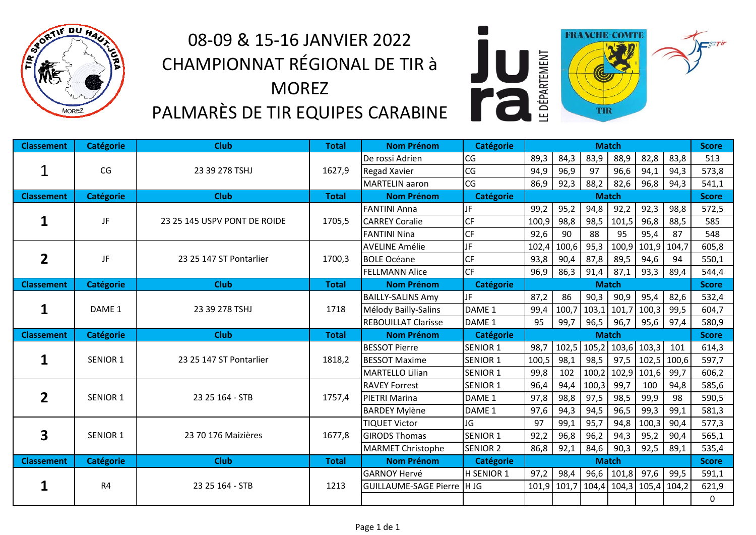

# 08‐09 & 15‐16 JANVIER 2022 CHAMPIONNAT RÉGIONAL DE TIR à MOREZ PALMARÈS DE TIR EQUIPES CARABINE



| <b>Classement</b> | <b>Catégorie</b> | <b>Club</b>                  | <b>Total</b> | <b>Nom Prénom</b>            | <b>Catégorie</b>  |              |                         |               | <b>Match</b>      |       |              | <b>Score</b> |
|-------------------|------------------|------------------------------|--------------|------------------------------|-------------------|--------------|-------------------------|---------------|-------------------|-------|--------------|--------------|
|                   |                  |                              |              | De rossi Adrien              | CG                | 89,3         | 84,3                    | 83,9          | 88,9              | 82,8  | 83,8         | 513          |
|                   | CG               | 23 39 278 TSHJ               | 1627,9       | <b>Regad Xavier</b>          | CG                | 94,9         | 96,9                    | 97            | 96,6              | 94,1  | 94,3         | 573,8        |
|                   |                  |                              |              | <b>MARTELIN</b> aaron        | CG                | 86,9         | 92,3                    | 88,2          | 82,6              | 96,8  | 94,3         | 541,1        |
| <b>Classement</b> | <b>Catégorie</b> | <b>Club</b>                  | <b>Total</b> | <b>Nom Prénom</b>            | <b>Catégorie</b>  | <b>Match</b> |                         |               |                   |       | <b>Score</b> |              |
|                   |                  |                              |              | <b>FANTINI Anna</b>          | JF                | 99,2         | 95,2                    | 94,8          | 92,2              | 92,3  | 98,8         | 572,5        |
| 1                 | JF               | 23 25 145 USPV PONT DE ROIDE | 1705,5       | <b>CARREY Coralie</b>        | CF                | 100,9        | 98,8                    | 98,5          | 101,5             | 96,8  | 88,5         | 585          |
|                   |                  |                              |              | <b>FANTINI Nina</b>          | CF                | 92,6         | 90                      | 88            | 95                | 95,4  | 87           | 548          |
|                   |                  |                              |              | <b>AVELINE Amélie</b>        | JF                | 102,4        | 100,6                   | 95,3          | 100,9             | 101,9 | 104,7        | 605,8        |
| $\overline{2}$    | JF               | 23 25 147 ST Pontarlier      | 1700,3       | <b>BOLE Océane</b>           | <b>CF</b>         | 93,8         | 90,4                    | 87,8          | 89,5              | 94,6  | 94           | 550,1        |
|                   |                  |                              |              | <b>FELLMANN Alice</b>        | <b>CF</b>         | 96,9         | 86,3                    | 91,4          | 87,1              | 93,3  | 89,4         | 544,4        |
| <b>Classement</b> | <b>Catégorie</b> | <b>Club</b>                  | <b>Total</b> | <b>Nom Prénom</b>            | <b>Catégorie</b>  |              |                         |               | <b>Match</b>      |       |              | <b>Score</b> |
|                   | DAME 1           | 23 39 278 TSHJ               | 1718         | <b>BAILLY-SALINS Amy</b>     | JF.               | 87,2         | 86                      | 90,3          | 90,9              | 95,4  | 82,6         | 532,4        |
| $\mathbf{1}$      |                  |                              |              | Mélody Bailly-Salins         | DAME <sub>1</sub> | 99,4         | 100,7                   | $103,1$ 101,7 |                   | 100,3 | 99,5         | 604,7        |
|                   |                  |                              |              | <b>REBOUILLAT Clarisse</b>   | DAME <sub>1</sub> | 95           | 99,7                    | 96,5          | 96,7              | 95,6  | 97,4         | 580,9        |
| <b>Classement</b> | <b>Catégorie</b> | <b>Club</b>                  | <b>Total</b> | <b>Nom Prénom</b>            | <b>Catégorie</b>  |              |                         |               | <b>Match</b>      |       |              | <b>Score</b> |
|                   |                  |                              |              | <b>BESSOT Pierre</b>         | <b>SENIOR 1</b>   | 98,7         |                         |               | 102,5 105,2 103,6 | 103,3 | 101          | 614,3        |
| 1                 | <b>SENIOR 1</b>  | 23 25 147 ST Pontarlier      | 1818,2       | <b>BESSOT Maxime</b>         | <b>SENIOR 1</b>   | 100,5        | 98,1                    | 98,5          | 97,5              | 102,5 | 100,6        | 597,7        |
|                   |                  |                              |              | MARTELLO Lilian              | <b>SENIOR 1</b>   | 99,8         | 102                     | 100,2         | 102,9             | 101,6 | 99,7         | 606,2        |
|                   |                  |                              |              | <b>RAVEY Forrest</b>         | <b>SENIOR 1</b>   | 96,4         | 94,4                    | 100,3         | 99,7              | 100   | 94,8         | 585,6        |
| $\overline{2}$    | <b>SENIOR 1</b>  | 23 25 164 - STB              | 1757,4       | PIETRI Marina                | DAME <sub>1</sub> | 97,8         | 98,8                    | 97,5          | 98,5              | 99,9  | 98           | 590,5        |
|                   |                  |                              |              | <b>BARDEY Mylène</b>         | DAME <sub>1</sub> | 97,6         | 94,3                    | 94,5          | 96,5              | 99,3  | 99,1         | 581,3        |
|                   |                  |                              |              | <b>TIQUET Victor</b>         | JG                | 97           | 99,1                    | 95,7          | 94,8              | 100,3 | 90,4         | 577,3        |
| 3                 | SENIOR 1         | 23 70 176 Maizières          | 1677,8       | <b>GIRODS Thomas</b>         | <b>SENIOR 1</b>   | 92,2         | 96,8                    | 96,2          | 94,3              | 95,2  | 90,4         | 565,1        |
|                   |                  |                              |              | <b>MARMET Christophe</b>     | <b>SENIOR 2</b>   | 86,8         | 92,1                    | 84,6          | 90,3              | 92,5  | 89,1         | 535,4        |
| <b>Classement</b> | <b>Catégorie</b> | <b>Club</b>                  | <b>Total</b> | <b>Nom Prénom</b>            | <b>Catégorie</b>  |              |                         |               | <b>Match</b>      |       |              | <b>Score</b> |
|                   |                  |                              |              | <b>GARNOY Hervé</b>          | <b>H SENIOR 1</b> | 97,2         | 98,4                    | 96,6          | 101,8             | 97,6  | 99,5         | 591,1        |
| 1                 | R <sub>4</sub>   | 23 25 164 - STB              | 1213         | <b>GUILLAUME-SAGE Pierre</b> | <b>IHJG</b>       |              | 101,9 101,7 104,4 104,3 |               |                   | 105,4 | 104,2        | 621,9        |
|                   |                  |                              |              |                              |                   |              |                         |               |                   |       |              | 0            |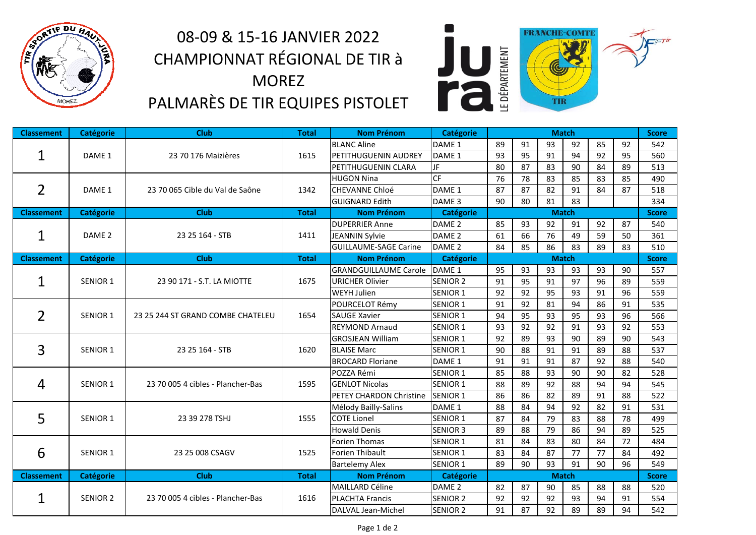

# 08‐09 & 15‐16 JANVIER 2022 CHAMPIONNAT RÉGIONAL DE TIR à MOREZ PALMARÈS DE TIR EQUIPES PISTOLET



| <b>Classement</b> | <b>Catégorie</b>  | <b>Club</b>                       | <b>Total</b> | <b>Nom Prénom</b>                   | Catégorie         | <b>Match</b> |    |              |    |    |              | <b>Score</b> |
|-------------------|-------------------|-----------------------------------|--------------|-------------------------------------|-------------------|--------------|----|--------------|----|----|--------------|--------------|
|                   |                   |                                   |              | <b>BLANC Aline</b>                  | DAME <sub>1</sub> | 89           | 91 | 93           | 92 | 85 | 92           | 542          |
| 1                 | DAME 1            | 23 70 176 Maizières               | 1615         | PETITHUGUENIN AUDREY                | DAME <sub>1</sub> | 93           | 95 | 91           | 94 | 92 | 95           | 560          |
|                   |                   |                                   |              | PETITHUGUENIN CLARA                 | JF                | 80           | 87 | 83           | 90 | 84 | 89           | 513          |
|                   |                   |                                   |              | <b>HUGON Nina</b>                   | CF                | 76           | 78 | 83           | 85 | 83 | 85           | 490          |
| $\overline{2}$    | DAME 1            | 23 70 065 Cible du Val de Saône   | 1342         | <b>CHEVANNE Chloé</b>               | DAME <sub>1</sub> | 87           | 87 | 82           | 91 | 84 | 87           | 518          |
|                   |                   |                                   |              | <b>GUIGNARD Edith</b>               | DAME <sub>3</sub> | 90           | 80 | 81           | 83 |    |              | 334          |
| <b>Classement</b> | Catégorie         | <b>Club</b>                       | <b>Total</b> | <b>Nom Prénom</b>                   | Catégorie         | <b>Match</b> |    |              |    |    | <b>Score</b> |              |
|                   |                   |                                   |              | <b>DUPERRIER Anne</b>               | DAME <sub>2</sub> | 85           | 93 | 92           | 91 | 92 | 87           | 540          |
| 1                 | DAME <sub>2</sub> | 23 25 164 - STB                   | 1411         | <b>JEANNIN Sylvie</b>               | DAME <sub>2</sub> | 61           | 66 | 76           | 49 | 59 | 50           | 361          |
|                   |                   |                                   |              | <b>GUILLAUME-SAGE Carine</b>        | DAME <sub>2</sub> | 84           | 85 | 86           | 83 | 89 | 83           | 510          |
| <b>Classement</b> | <b>Catégorie</b>  | <b>Club</b>                       | <b>Total</b> | <b>Nom Prénom</b>                   | Catégorie         |              |    | <b>Match</b> |    |    |              | <b>Score</b> |
|                   | SENIOR 1          |                                   |              | <b>GRANDGUILLAUME Carole DAME 1</b> |                   | 95           | 93 | 93           | 93 | 93 | 90           | 557          |
| 1                 |                   | 23 90 171 - S.T. LA MIOTTE        | 1675         | <b>URICHER Olivier</b>              | <b>SENIOR 2</b>   | 91           | 95 | 91           | 97 | 96 | 89           | 559          |
|                   |                   |                                   |              | <b>WEYH Julien</b>                  | <b>SENIOR 1</b>   | 92           | 92 | 95           | 93 | 91 | 96           | 559          |
| 2                 |                   | 23 25 244 ST GRAND COMBE CHATELEU | 1654         | POURCELOT Rémy                      | <b>SENIOR 1</b>   | 91           | 92 | 81           | 94 | 86 | 91           | 535          |
|                   | <b>SENIOR 1</b>   |                                   |              | <b>SAUGE Xavier</b>                 | <b>SENIOR 1</b>   | 94           | 95 | 93           | 95 | 93 | 96           | 566          |
|                   |                   |                                   |              | <b>REYMOND Arnaud</b>               | <b>SENIOR 1</b>   | 93           | 92 | 92           | 91 | 93 | 92           | 553          |
|                   |                   |                                   |              | <b>GROSJEAN William</b>             | <b>SENIOR 1</b>   | 92           | 89 | 93           | 90 | 89 | 90           | 543          |
|                   | <b>SENIOR 1</b>   | 23 25 164 - STB                   | 1620         | <b>BLAISE Marc</b>                  | <b>SENIOR 1</b>   | 90           | 88 | 91           | 91 | 89 | 88           | 537          |
| 3                 |                   |                                   |              | <b>BROCARD Floriane</b>             | DAME <sub>1</sub> | 91           | 91 | 91           | 87 | 92 | 88           | 540          |
|                   |                   |                                   |              | POZZA Rémi                          | <b>SENIOR 1</b>   | 85           | 88 | 93           | 90 | 90 | 82           | 528          |
| 4                 | SENIOR 1          | 23 70 005 4 cibles - Plancher-Bas | 1595         | <b>GENLOT Nicolas</b>               | <b>SENIOR 1</b>   | 88           | 89 | 92           | 88 | 94 | 94           | 545          |
|                   |                   |                                   |              | PETEY CHARDON Christine             | <b>SENIOR 1</b>   | 86           | 86 | 82           | 89 | 91 | 88           | 522          |
|                   |                   |                                   |              | Mélody Bailly-Salins                | DAME 1            | 88           | 84 | 94           | 92 | 82 | 91           | 531          |
| 5                 | SENIOR 1          | 23 39 278 TSHJ                    | 1555         | <b>COTE Lionel</b>                  | <b>SENIOR 1</b>   | 87           | 84 | 79           | 83 | 88 | 78           | 499          |
|                   |                   |                                   |              | <b>Howald Denis</b>                 | <b>SENIOR 3</b>   | 89           | 88 | 79           | 86 | 94 | 89           | 525          |
|                   |                   |                                   |              | <b>Forien Thomas</b>                | <b>SENIOR 1</b>   | 81           | 84 | 83           | 80 | 84 | 72           | 484          |
| 6                 | <b>SENIOR 1</b>   | 23 25 008 CSAGV                   | 1525         | Forien Thibault                     | <b>SENIOR 1</b>   | 83           | 84 | 87           | 77 | 77 | 84           | 492          |
|                   |                   |                                   |              | <b>Bartelemy Alex</b>               | <b>SENIOR 1</b>   | 89           | 90 | 93           | 91 | 90 | 96           | 549          |
| <b>Classement</b> | <b>Catégorie</b>  | <b>Club</b>                       | <b>Total</b> | <b>Nom Prénom</b>                   | Catégorie         |              |    | <b>Match</b> |    |    |              | <b>Score</b> |
|                   |                   |                                   |              | <b>MAILLARD Céline</b>              | DAME <sub>2</sub> | 82           | 87 | 90           | 85 | 88 | 88           | 520          |
| $\mathbf 1$       | <b>SENIOR 2</b>   | 23 70 005 4 cibles - Plancher-Bas | 1616         | <b>PLACHTA Francis</b>              | <b>SENIOR 2</b>   | 92           | 92 | 92           | 93 | 94 | 91           | 554          |
|                   |                   |                                   |              | DALVAL Jean-Michel                  | <b>SENIOR 2</b>   | 91           | 87 | 92           | 89 | 89 | 94           | 542          |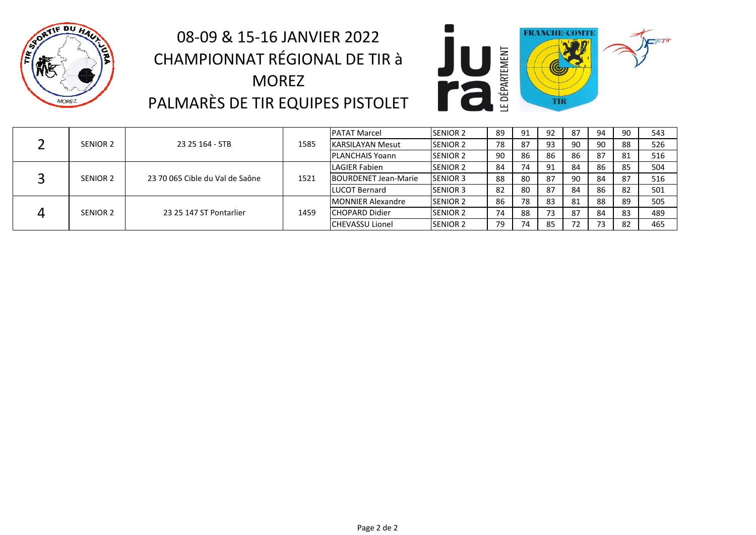

# 08‐09 & 15‐16 JANVIER 2022 CHAMPIONNAT RÉGIONAL DE TIR à MOREZ PALMARÈS DE TIR EQUIPES PISTOLET



|  |          | 23 25 164 - STB                 | 1585 | <b>PATAT Marcel</b>         | <b>SENIOR 2</b>  | 89 | 91 | 92 | 87 | 94 | 90  | 543 |
|--|----------|---------------------------------|------|-----------------------------|------------------|----|----|----|----|----|-----|-----|
|  | SENIOR 2 |                                 |      | <b>IKARSILAYAN Mesut</b>    | <b>SENIOR 2</b>  | 78 | 87 | 93 | 90 | 90 | 88  | 526 |
|  |          |                                 |      | PLANCHAIS Yoann             | <b>ISENIOR 2</b> | 90 | 86 | 86 | 86 | 87 | -81 | 516 |
|  | SENIOR 2 | 23 70 065 Cible du Val de Saône | 1521 | LAGIER Fabien               | <b>ISENIOR 2</b> | 84 |    | 91 | 84 | 86 | 85  | 504 |
|  |          |                                 |      | <b>BOURDENET Jean-Marie</b> | <b>SENIOR 3</b>  | 88 | 80 | 87 | 90 | 84 | 87  | 516 |
|  |          |                                 |      | <b>LUCOT Bernard</b>        | <b>SENIOR 3</b>  | 82 | 80 | 87 | 84 | 86 | 82  | 501 |
|  | SENIOR 2 | 23 25 147 ST Pontarlier         | 1459 | <b>MONNIER Alexandre</b>    | <b>SENIOR 2</b>  | 86 | 78 | 83 | 81 | 88 | 89  | 505 |
|  |          |                                 |      | <b>ICHOPARD Didier</b>      | <b>SENIOR 2</b>  | 74 | 88 | 73 | 87 | 84 | 83  | 489 |
|  |          |                                 |      | <b>CHEVASSU Lionel</b>      | <b>SENIOR 2</b>  | 79 |    | 85 | 72 | 73 | -82 | 465 |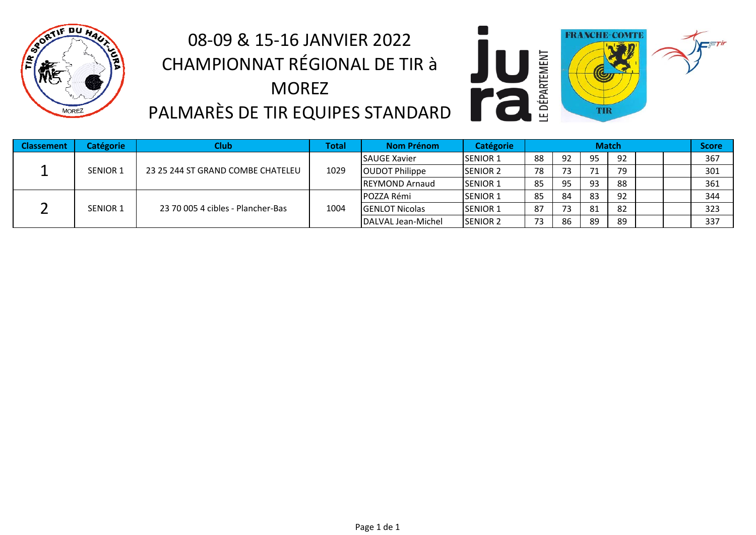

# 08‐09 & 15‐16 JANVIER 2022 CHAMPIONNAT RÉGIONAL DE TIR à MOREZ PALMARÈS DE TIR EQUIPES STANDARD



| <b>Classement</b> | <b>Catégorie</b> | <b>Club</b>                       | Total | <b>Nom Prénom</b>      | Catégorie        |    |    | <b>Match</b> |    |  | Score |
|-------------------|------------------|-----------------------------------|-------|------------------------|------------------|----|----|--------------|----|--|-------|
|                   | <b>SENIOR 1</b>  | 23 25 244 ST GRAND COMBE CHATELEU | 1029  | <b>SAUGE Xavier</b>    | <b>ISENIOR 1</b> | 88 | 92 | 95           | 92 |  | 367   |
|                   |                  |                                   |       | <b>OUDOT Philippe</b>  | <b>ISENIOR 2</b> | 78 | 73 | 71           | 79 |  | 301   |
|                   |                  |                                   |       | <b>IREYMOND Arnaud</b> | <b>ISENIOR 1</b> | 85 | 95 | 93           | 88 |  | 361   |
|                   | <b>SENIOR 1</b>  | 23 70 005 4 cibles - Plancher-Bas | 1004  | POZZA Rémi             | <b>ISENIOR 1</b> | 85 | 84 | 83           | 92 |  | 344   |
|                   |                  |                                   |       | <b>GENLOT Nicolas</b>  | <b>ISENIOR 1</b> | 87 | 73 | 81           | 82 |  | 323   |
|                   |                  |                                   |       | DALVAL Jean-Michel     | <b>SENIOR 2</b>  | 73 | 86 | 89           | 89 |  | 337   |